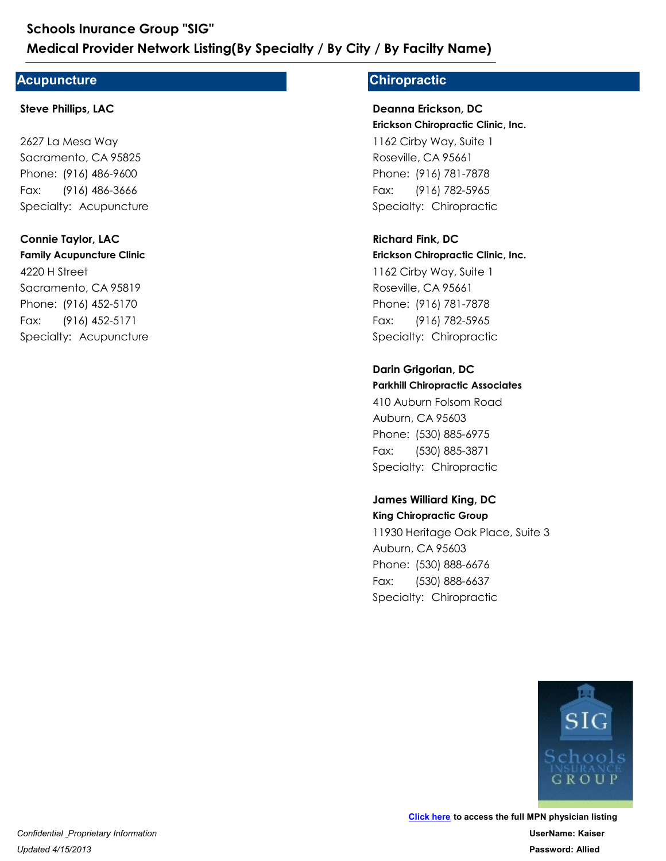### **Acupuncture**

#### **Steve Phillips, LAC**

2627 La Mesa Way Sacramento, CA 95825 Medical Provider Network Listing(By Special Provider Network Listing(By Special Provider Network Listing(By Special Provider Steve Phillips, LAC<br>Steve Phillips, LAC<br>2627 La Mesa Way<br>Sacramento, CA 95825<br>Phone: (916) 486-96 Schools Inurance Group "SIG"<br>
Medical Provider Network Listing(By<br>
Acupuncture<br>
Steve Phillips, LAC<br>
2627 La Mesa Way<br>
Sacramento, CA 95825<br>
Phone: (916) 486-9600<br>Fax: (916) 486-3666<br>
Specialty: Acupuncture Fax: (916) 486-3666

#### **Connie Taylor, LAC**

**Family Acupuncture Clinic** 4220 H Street Sacramento, CA 95819 Phone: (916) 486-9600<br>Fax: (916) 486-3666<br>Specialty: Acupuncture<br>**Connie Taylor, LAC**<br>**Family Acupuncture Clinic**<br>4220 H Street<br>Sacramento, CA 95819<br>Phone: (916) 452-5170<br>Fax: (916) 452-5171<br>Specialty: Acupuncture 2627 La Mesa Way<br>Sacramento, CA 95825<br>Phone: (916) 486-9600<br>Fax: (916) 486-3666<br>Specialty: Acupuncture<br>**Connie Taylor, LAC<br>Family Acupuncture Clinic**<br>4220 H Street<br>Sacramento, CA 95819<br>Phone: (916) 452-5170<br>Fax: (916) 452-Fax: (916) 452-5171

### **Chiropractic**

#### **Erickson Chiropractic Clinic, Inc. Deanna Erickson, DC**

1162 Cirby Way, Suite 1 Roseville, CA 95661 **/ By Facilty Name)**<br> **Chiropractic**<br> **Deanna Erickson, DC**<br> **Erickson Chiropractic Clinic, Inc.**<br>
1162 Cirby Way, Suite 1<br>
Roseville, CA 95661<br>
Phone: (916) 781-7878<br>
Fax: (916) 782-5965<br>
Specialty: Chiropractic<br>
Richard **/ By Facilty Name)<br>
Chiropractic<br>
Deanna Erickson, DC<br>
Erickson Chiropractic Clinic, Inc.<br>
1162 Cirby Way, Suite 1<br>
Roseville, CA 95661<br>
Phone: (916) 781-7878<br>
Fax: (916) 782-5965<br>
Specialty: Chiropractic** Fax: (916) 782-5965

#### **Richard Fink, DC**

**Erickson Chiropractic Clinic, Inc.** 1162 Cirby Way, Suite 1 Roseville, CA 95661 Phone: (916) 781-7878<br>Fax: (916) 782-5965<br>Specialty: Chiropractic<br>**Richard Fink, DC**<br>**Richard Fink, DC**<br>**Erickson Chiropractic Clinic, Inc.**<br>1162 Cirby Way, Suite 1<br>Roseville, CA 95661<br>Phone: (916) 781-7878<br>Fax: (916) 782-1162 Cirby Way, Suite 1<br>
Roseville, CA 95661<br>
Phone: (916) 781-7878<br>
Fax: (916) 782-5965<br>
Specialty: Chiropractic<br> **Richard Fink, DC**<br> **Richard Fink, DC**<br> **Erickson Chiropractic Clinic, Inc.**<br>
1162 Cirby Way, Suite 1<br>
Rose Fax: (916) 782-5965 1162 Cirby Way, Suite 1<br>Roseville, CA 95661<br>Phone: (916) 781-7878<br>Fax: (916) 782-5965<br>Specialty: Chiropractic<br>**Darin Grigorian, DC**<br>**Parkhill Chiropractic Associates**<br>410 Auburn Folsom Road<br>Auburn, CA 95603<br>Phone: (530) 88

### **Darin Grigorian, DC**

**Parkhill Chiropractic Associates**

410 Auburn Folsom Road Auburn, CA 95603 Phone: (916) 781-7878<br>Fax: (916) 782-5965<br>Specialty: Chiropractic<br>**Darin Grigorian, DC**<br>**Darin Grigorian, DC**<br>**Parkhill Chiropractic Associates**<br>410 Auburn Folsom Road<br>Auburn, CA 95603<br>Phone: (530) 885-6975<br>Fax: (530) 885-Fax: (530) 885-3871

### **James Williard King, DC**

**King Chiropractic Group** 11930 Heritage Oak Place, Suite 3 Auburn, CA 95603 Phone: (530) 885-6975<br>Fax: (530) 885-3871<br>Specialty: Chiropractic<br>**James Williard King, DC<br>King Chiropractic Group**<br>11930 Heritage Oak Place, Suite 3<br>Auburn, CA 95603<br>Phone: (530) 888-6676<br>Fax: (530) 888-6637<br>Specialty: Ch 410 Auburn Folsom Road<br>Auburn, CA 95603<br>Phone: (530) 885-6975<br>Fax: (530) 885-3871<br>Specialty: Chiropractic<br>**James Williard King, DC<br>King Chiropractic Group**<br>11930 Heritage Oak Place, Suite 3<br>Auburn, CA 95603<br>Phone: (530) 88 Fax: (530) 888-6637

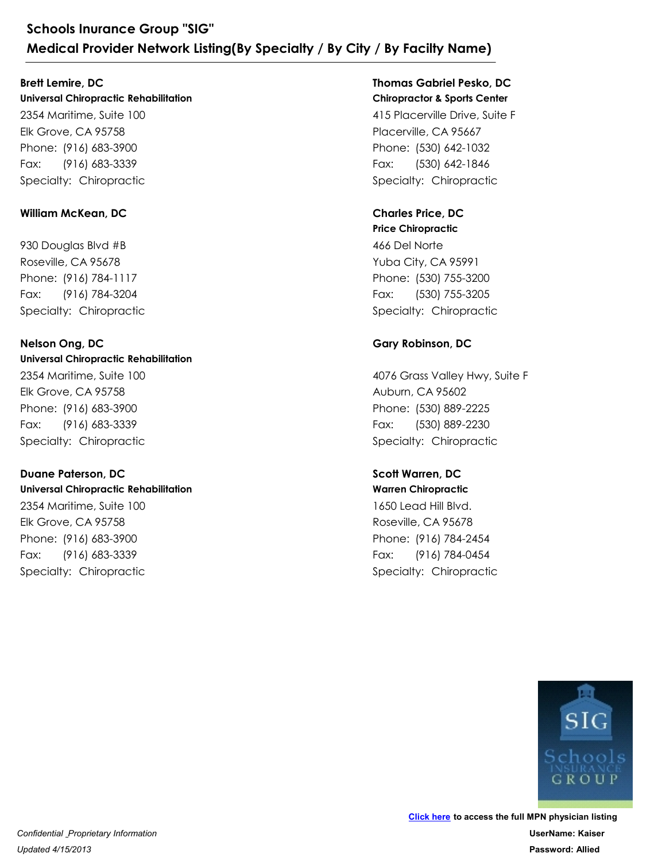### **Brett Lemire, DC**

**Universal Chiropractic Rehabilitation** 2354 Maritime, Suite 100 Elk Grove, CA 95758 Schools Inurance Group "SIG"<br>
Medical Provider Network Listing(By Spe<br>
Brett Lemire, DC<br>
Universal Chiropractic Rehabilitation<br>
2354 Maritime, Suite 100<br>
Elk Grove, CA 95758<br>
Phone: (916) 683-3390<br>
Fax: (916) 683-3339<br>
Spe Schools Inurance Group "SIG"<br>
Medical Provider Network Listing(By<br>
Brett Lemire, DC<br>
Universal Chiropractic Rehabilitation<br>
2354 Maritime, Suite 100<br>
Elk Grove, CA 95758<br>
Phone: (916) 683-3900<br>
Fax: (916) 683-3339<br>
Special Fax: (916) 683-3339 2354 Maritime, Suite 100<br>Elk Grove, CA 95758<br>Phone: (916) 683-3900<br>Fax: (916) 683-3339<br>Specialty: Chiropractic<br>William McKean, DC<br>930 Douglas Blvd #B<br>Roseville, CA 95678<br>Phone: (916) 784-1117<br>Fax: (916) 784-3204<br>Specialty:

### **William McKean, DC**

930 Douglas Blvd #B Roseville, CA 95678 Phone: (916) 683-3900<br>Fax: (916) 683-3339<br>Specialty: Chiropractic<br>William McKean, DC<br>930 Douglas Blvd #B<br>Roseville, CA 95678<br>Phone: (916) 784-1117<br>Fax: (916) 784-3204<br>Specialty: Chiropractic<br>Nelson Ong, DC Fax: (916) 784-3204

#### **Universal Chiropractic Rehabilitation Nelson Ong, DC**

2354 Maritime, Suite 100 Elk Grove, CA 95758 Phone: (916) 784-1117<br>Fax: (916) 784-3204<br>Specialty: Chiropractic<br>**Nelson Ong, DC**<br>Universal Chiropractic Rehabilitation<br>2354 Maritime, Suite 100<br>Elk Grove, CA 95758<br>Phone: (916) 683-3390<br>Fax: (916) 683-3339<br>Specialty: Chi 930 Douglas Blvd #B<br>Roseville, CA 95678<br>Phone: (916) 784-1117<br>Fax: (916) 784-3204<br>Specialty: Chiropractic<br>**Nelson Ong, DC<br>Universal Chiropractic Rehabilitation**<br>2354 Maritime, Suite 100<br>Elk Grove, CA 95758<br>Phone: (916) 683 Fax: (916) 683-3339 2354 Maritime, Suite 100<br>Elk Grove, CA 95758<br>Phone: (916) 683-3900<br>Fax: (916) 683-3339<br>Specialty: Chiropractic<br>**Duane Paterson, DC<br>Universal Chiropractic Rehabilitation**<br>2354 Maritime, Suite 100<br>Elk Grove, CA 95758<br>Phone:

### **Duane Paterson, DC**

**Universal Chiropractic Rehabilitation**

2354 Maritime, Suite 100 Elk Grove, CA 95758 Phone: (916) 683-3900<br>Fax: (916) 683-3339<br>Specialty: Chiropractic<br>**Duane Paterson, DC**<br>**Duane Paterson, DC**<br>**Universal Chiropractic Rehabilitation**<br>2354 Maritime, Suite 100<br>Elk Grove, CA 95758<br>Phone: (916) 683-3900<br>Fax: (9 Fax: (916) 683-3339

### **Chiropractor & Sports Center Thomas Gabriel Pesko, DC**

415 Placerville Drive, Suite F Placerville, CA 95667 **/ By Facilty Name)**<br> **Thomas Gabriel Pesko, DC**<br> **Chiropractor & Sports Center**<br>
415 Placerville, CA 95667<br>
Phone: (530) 642-1032<br>
Fax: (530) 642-1846<br>
Specialty: Chiropractic<br> **Charles Price, DC / By Facilty Name)**<br> **Thomas Gabriel Pesko, DC<br>
Chiropractor & Sports Center**<br>
415 Placerville Drive, Suite F<br>
Placerville, CA 95667<br>
Phone: (530) 642-1032<br>
Fax: (530) 642-1846<br>
Specialty: Chiropractic Fax: (530) 642-1846

### **Charles Price, DC**

**Price Chiropractic** 466 Del Norte Yuba City, CA 95991 Phone: (530) 642-1032<br>Fax: (530) 642-1846<br>Specialty: Chiropractic<br>**Charles Price, DC**<br>**Charles Price, DC**<br>**Price Chiropractic**<br>466 Del Norte<br>Yuba City, CA 95991<br>Phone: (530) 755-3200<br>Fax: (530) 755-3205<br>Specialty: Chiropra 415 Placerville Drive, Suite F<br>Placerville, CA 95667<br>Phone: (530) 642-1032<br>Fax: (530) 642-1846<br>Specialty: Chiropractic<br>**Charles Price, DC**<br>**Price Chiropractic**<br>466 Del Norte<br>Yuba City, CA 95991<br>Phone: (530) 755-3200<br>Fax: ( Fax: (530) 755-3205

### **Gary Robinson, DC**

4076 Grass Valley Hwy, Suite F Auburn, CA 95602 Phone: (530) 755-3200<br>Fax: (530) 755-3205<br>Specialty: Chiropractic<br>**Gary Robinson, DC**<br>4076 Grass Valley Hwy, Suite F<br>Auburn, CA 95602<br>Phone: (530) 889-2225<br>Fax: (530) 889-2225<br>Specialty: Chiropractic<br>Specialty: Chiropracti 466 Del Norte<br>Yuba City, CA 95991<br>Phone: (530) 755-3200<br>Fax: (530) 755-3205<br>Specialty: Chiropractic<br>**Gary Robinson, DC**<br>4076 Grass Valley Hwy, Suite F<br>Auburn, CA 95602<br>Phone: (530) 889-2225<br>Fax: (530) 889-2225<br>Specialty: C Fax: (530) 889-2230 4076 Grass Valley Hwy, Suite F<br>Auburn, CA 95602<br>Phone: (530) 889-2225<br>Fax: (530) 889-2230<br>Specialty: Chiropractic<br>**Scott Warren, DC<br>Warren Chiropractic**<br>1650 Lead Hill Blvd.<br>Roseville, CA 95678<br>Phone: (916) 784-2454<br>Fax: (

### **Warren Chiropractic Scott Warren, DC**

1650 Lead Hill Blvd. Roseville, CA 95678 Phone: (530) 889-2225<br>Fax: (530) 889-2225<br>Specialty: Chiropractic<br>Scott Warren, DC<br>Warren Chiropractic<br>1650 Lead Hill Blvd.<br>Roseville, CA 95678<br>Phone: (916) 784-2454<br>Fax: (916) 784-0454<br>Specialty: Chiropractic Fax: (916) 784-0454

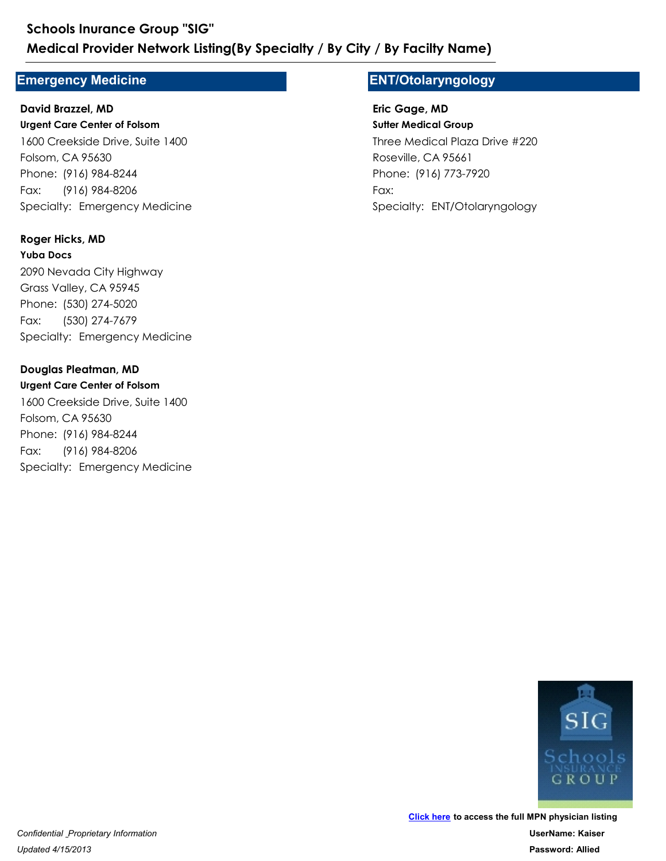### **Emergency Medicine**

# **Urgent Care Center of Folsom** 1600 Creekside Drive, Suite 1400 Folsom, CA 95630 Medical Provider Network Listing (By Specialty /<br>
Emergency Medicine<br>
David Brazzel, MD<br>
Urgent Care Center of Folsom<br>
1600 Creekside Drive, Suite 1400<br>
Folsom, CA 95630<br>
Phone: (916) 984-8244<br>
Fax: (916) 984-8206<br>
Special Schools Inurance Group "SIG"<br>
Medical Provider Network Listing(By<br>
Emergency Medicine<br>
David Brazzel, MD<br>
Urgent Care Center of Folsom<br>
1600 Creekside Drive, Suite 1400<br>
Folsom, CA 95630<br>
Phone: (916) 984-8244<br>
Fax: (916) Fax: (916) 984-8206 **David Brazzel, MD**

### **Roger Hicks, MD**

**Yuba Docs** 2090 Nevada City Highway Grass Valley, CA 95945 Phone: (916) 984-8244<br>Fax: (916) 984-8206<br>Specialty: Emergency Medicine<br>**Roger Hicks, MD<br>Yuba Docs**<br>2090 Nevada City Highway<br>Grass Valley, CA 95945<br>Phone: (530) 274-5020<br>Fax: (530) 274-7679<br>Specialty: Emergency Medicine<br>**D** 1600 Creekside Drive, Suite 1400<br>Folsom, CA 95630<br>Phone: (916) 984-8244<br>Fax: (916) 984-8206<br>Specialty: Emergency Medicine<br>**Roger Hicks, MD<br>Yuba Docs**<br>2090 Nevada City Highway<br>Grass Valley, CA 95945<br>Phone: (530) 274-5020<br>Fa Fax: (530) 274-7679 2090 Nevada City Highway<br>Grass Valley, CA 95945<br>Phone: (530) 274-5020<br>Fax: (530) 274-7679<br>Specialty: Emergency Medicine<br>**Douglas Pleatman, MD<br>Urgent Care Center of Folsom**<br>1600 Creekside Drive, Suite 1400<br>Folsom, CA 95630<br>

### **Douglas Pleatman, MD**

**Urgent Care Center of Folsom** 1600 Creekside Drive, Suite 1400 Folsom, CA 95630 Phone: (530) 274-5020<br>Fax: (530) 274-5020<br>Specialty: Emergency Medicine<br>**Douglas Pleatman, MD**<br>**Urgent Care Center of Folsom**<br>1600 Creekside Drive, Suite 1400<br>Folsom, CA 95630<br>Phone: (916) 984-8244<br>Fax: (916) 984-8206<br>Spec

Fax: (916) 984-8206

### **ENT/Otolaryngology**

**Sutter Medical Group** Three Medical Plaza Drive #220 Roseville, CA 95661 / **By Facilty Name)**<br>
=**NT/Otolaryngology**<br> **Eric Gage, MD**<br> **Sutter Medical Group**<br>
Three Medical Plaza Drive #220<br>
Roseville, CA 95661<br>
Phone: (916) 773-7920<br>
Fax:<br>
Specialty: ENT/Otolaryngology **/ By Facilty Name)<br>
ENT/Otolaryngology<br>
Eric Gage, MD<br>
Sutter Medical Group<br>
Three Medical Plaza Drive #220<br>
Roseville, CA 95661<br>
Phone: (916) 773-7920<br>
Fax:<br>
Specialty: ENT/Otolaryngology** Fax: **Eric Gage, MD**

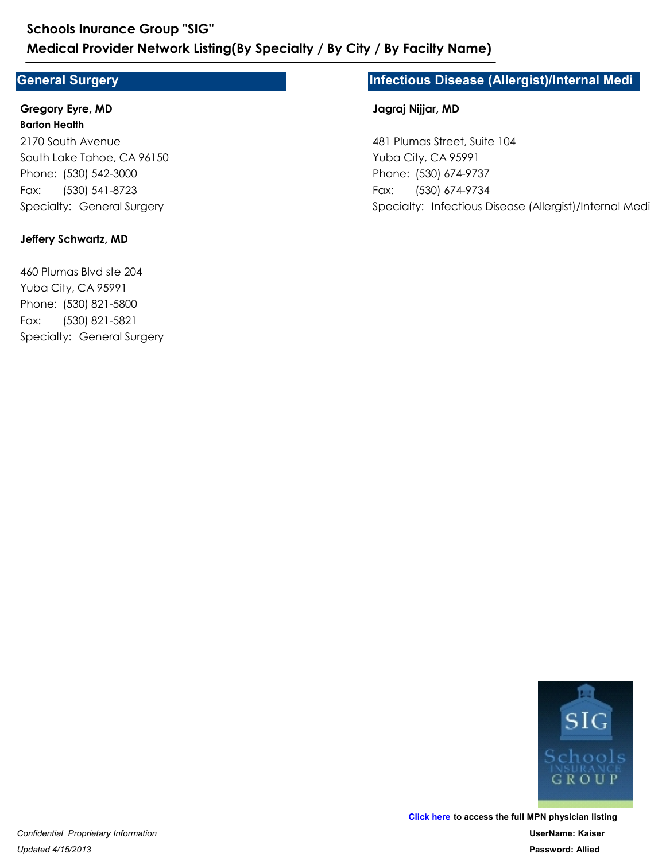### **General Surgery**

#### **Barton Health Gregory Eyre, MD**

2170 South Avenue South Lake Tahoe, CA 96150 Medical Provider Network Listing(By Special Constant Constrained Constants (Special Surgery<br>
Gregory Eyre, MD<br>
Barton Health<br>
2170 South Avenue<br>
South Lake Tahoe, CA 96150<br>
Phone: (530) 542-3000<br>
Fax: (530) 541-8723<br>
Speci Schools Inurance Group "SIG"<br>
Medical Provider Network Listing(By<br>
General Surgery<br>
Gregory Eyre, MD<br>
Barton Health<br>
2170 South Avenue<br>
South Lake Tahoe, CA 96150<br>
Phone: (530) 542-3000<br>
Fax: (530) 541-8723<br>
Specialty: Gen Fax: (530) 541-8723 2170 South Avenue<br>
South Lake Tahoe, CA 96150<br>
Phone: (530) 542-3000<br>
Fax: (530) 541-8723<br>
Specialty: General Surgery<br> **Jeffery Schwartz, MD**<br> **Jeffery Schwartz, MD**<br>
Yuba City, CA 95991<br>
Phone: (530) 821-5800<br>
Fax: (530)

#### **Jeffery Schwartz, MD**

460 Plumas Blvd ste 204 Yuba City, CA 95991 Phone: (530) 542-3000<br>Fax: (530) 541-8723<br>Specialty: General Surgery<br>**Jeffery Schwartz, MD**<br>460 Plumas Blvd ste 204<br>Yuba City, CA 95991<br>Phone: (530) 821-5800<br>Fax: (530) 821-5821<br>Specialty: General Surgery Fax: (530) 821-5821

### **Infectious Disease (Allergist)/Internal Medi**

#### **Jagraj Nijjar, MD**

481 Plumas Street, Suite 104 Yuba City, CA 95991 **nfectious Disease (Allergist)/Internal Medi<br>Jagraj Nijjar, MD<br>481 Plumas Street, Suite 104<br>Yuba City, CA 95991<br>Phone: (530) 674-9737<br>Fax: (530) 674-9734<br>Specialty: Infectious Disease (Allergist)/Internal Medi Phone: The Allergist) Sylon Factious Disease (Allergist)/Internal<br>
Jagraj Nijjar, MD<br>
481 Plumas Street, Suite 104<br>
Yuba City, CA 95991<br>
Phone: (530) 674-9737<br>
Fax: (530) 674-9734<br>
Specialty: Infectious Disease (Allergist** Fax: (530) 674-9734

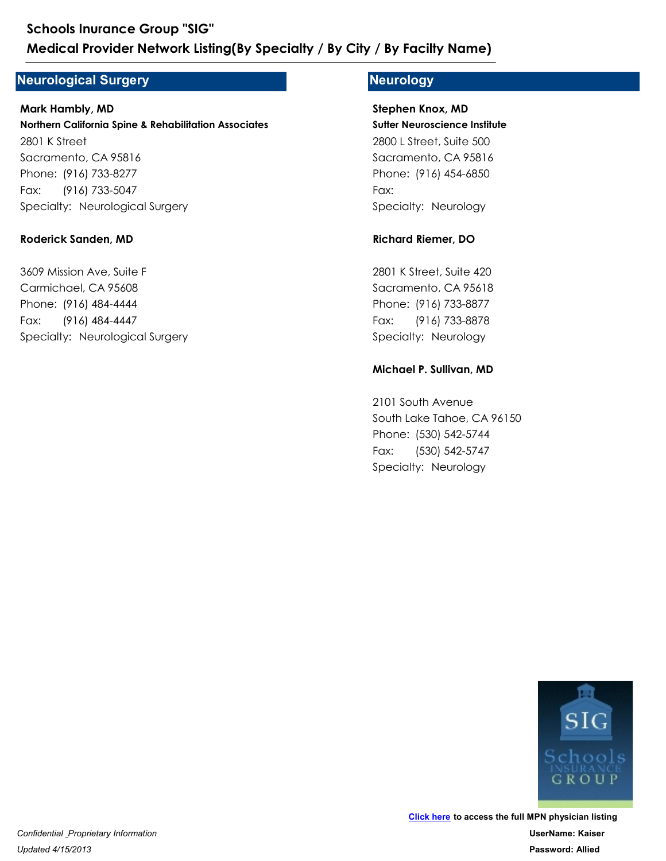### **Neurological Surgery**

**Northern California Spine & Rehabilitation Associates** 2801 K Street Sacramento, CA 95816 Medical Provider Network Listing(By Special<br>
Veurological Surgery<br>
Mark Hambly, MD<br>
Northern California Spine & Rehabilitation Associates<br>
2801 K Street<br>
Sacramento, CA 95816<br>
Phone: (916) 733-8277<br>
Fax: (916) 733-5047<br>
Sp Schools Inurance Group "SIG"<br>
Medical Provider Network Listing(By<br>
Veurological Surgery<br>
Mark Hambly, MD<br>
Northern California Spine & Rehabilitation Associc<br>
2801 K Street<br>
Sacramento, CA 95816<br>
Phone: (916) 733-8277<br>
Fax: Fax: (916) 733-5047 **Mark Hambly, MD** 2801 K Street<br>
Sacramento, CA 95816<br>
Phone: (916) 733-8277<br>
Fax: (916) 733-5047<br>
Specialty: Neurological Surgery<br> **Roderick Sanden, MD**<br>
3609 Mission Ave, Suite F<br>
Carmichael, CA 95608<br>
Phone: (916) 484-4444<br>
Fax: (916) 48

### **Roderick Sanden, MD**

3609 Mission Ave, Suite F Carmichael, CA 95608 Phone: (916) 733-8277<br>Fax: (916) 733-5047<br>Specialty: Neurological Surgery<br>**Roderick Sanden, MD**<br>3609 Mission Ave, Suite F<br>Carmichael, CA 95608<br>Phone: (916) 484-4444<br>Fax: (916) 484-4447<br>Specialty: Neurological Surgery Fax: (916) 484-4447

### **Neurology**

**Sutter Neuroscience Institute** 2800 L Street, Suite 500 Sacramento, CA 95816 **/ By Facilty Name)**<br> **Neurology**<br> **Stephen Knox, MD**<br> **Sutter Neuroscience Institute**<br>
2800 L Street, Suite 500<br>
Sacramento, CA 95816<br>
Phone: (916) 454-6850<br>
Fax:<br>
Specialty: Neurology<br>
Richard Riemer, DO **/ By Facilty Name)**<br> **Neurology**<br> **Stephen Knox, MD**<br> **Sutter Neuroscience Institute**<br>
2800 L Street, Suite 500<br>
Sacramento, CA 95816<br>
Phone: (916) 454-6850<br>
Fax:<br>
Specialty: Neurology Fax: **Stephen Knox, MD** 2800 L Street, Suite 500<br>
Sacramento, CA 95816<br>
Phone: (916) 454-6850<br>
Fax:<br>
Specialty: Neurology<br> **Richard Riemer, DO<br>
2801 K Street, Suite 420**<br>
Sacramento, CA 95618<br>
Phone: (916) 733-8877<br>
Fax: (916) 733-8878<br>
Specialty

#### **Richard Riemer, DO**

2801 K Street, Suite 420 Sacramento, CA 95618 Phone: (916) 454-6850<br>Fax:<br>Specialty: Neurology<br>**Richard Riemer, DO**<br>2801 K Street, Suite 420<br>Sacramento, CA 95618<br>Phone: (916) 733-8877<br>Fax: (916) 733-8878<br>Specialty: Neurology<br>**Michael P. Sullivan, MD** Fax: (916) 733-8878

#### **Michael P. Sullivan, MD**

2101 South Avenue South Lake Tahoe, CA 96150 Phone: (916) 733-8877<br>Fax: (916) 733-8878<br>Specialty: Neurology<br>**Michael P. Sullivan, MD**<br>2101 South Avenue<br>South Lake Tahoe, CA 96150<br>Phone: (530) 542-5744<br>Fax: (530) 542-5747<br>Specialty: Neurology 2801 K Street, Suite 420<br>
Sacramento, CA 95618<br>
Phone: (916) 733-8877<br>
Fax: (916) 733-8878<br>
Specialty: Neurology<br> **Michael P. Sullivan, MD<br>
2101 South Avenue**<br>
South Lake Tahoe, CA 96150<br>
Phone: (530) 542-5744<br>
Fax: (530) Fax: (530) 542-5747

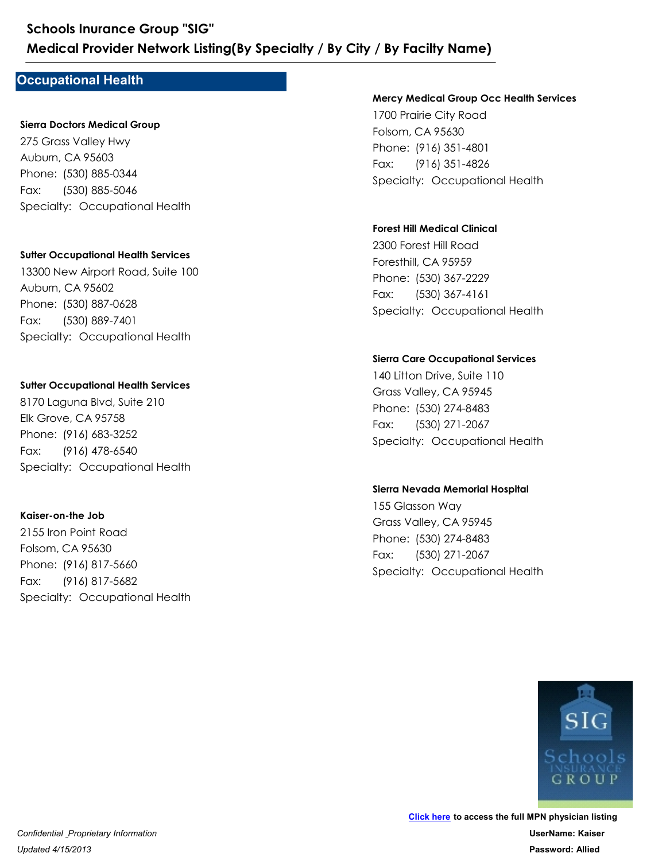### **Occupational Health**

### **Sierra Doctors Medical Group**

275 Grass Valley Hwy Auburn, CA 95603 Medical Provider Network Listing(By Specialty<br>
Dccupational Health<br>
Sierra Doctors Medical Group<br>
275 Grass Valley Hwy<br>
Auburn, CA 95603<br>
Phone: (530) 885-0344<br>
Fax: (530) 885-5046<br>
Specialty: Occupational Health Schools Inurance Group "SIG"<br>
Medical Provider Network Listing(By<br>
Dccupational Health<br>
Sierra Doctors Medical Group<br>
275 Grass Valley Hwy<br>
Auburn, CA 95603<br>
Phone: (530) 885-0344<br>
Fax: (530) 885-5046<br>
Specialty: Occupatio Fax: (530) 885-5046

#### **Sutter Occupational Health Services**

13300 New Airport Road, Suite 100 Auburn, CA 95602 Phone: (530) 885-0344<br>Fax: (530) 885-5046<br>Specialty: Occupational Health<br>**Sutter Occupational Health Services**<br>13300 New Airport Road, Suite 100<br>Auburn, CA 95602<br>Phone: (530) 887-0628<br>Fax: (530) 889-7401<br>Specialty: Occupat 275 Grass Valley Hwy<br>Auburn, CA 95603<br>Phone: (530) 885-0344<br>Fax: (530) 885-5046<br>Specialty: Occupational Health<br>Sutter Occupational Health Services<br>13300 New Airport Road, Suite 100<br>Auburn, CA 95602<br>Phone: (530) 887-0628<br>Fa Fax: (530) 889-7401 13300 New Airport Road, Suite 100<br>Auburn, CA 95602<br>Phone: (530) 887-0628<br>Fax: (530) 889-7401<br>Specialty: Occupational Health<br>**Suiter Occupational Health Services**<br>8170 Laguna Blvd, Suite 210<br>Elk Grove, CA 95758<br>Phone: (916)

#### **Sutter Occupational Health Services**

8170 Laguna Blvd, Suite 210 Elk Grove, CA 95758 Phone: (530) 887-0628<br>Fax: (530) 889-7401<br>Specialty: Occupational Health<br>**Sutter Occupational Health Services**<br>8170 Laguna Blvd, Suite 210<br>Elk Grove, CA 95758<br>Phone: (916) 683-3252<br>Fax: (916) 478-6540<br>Specialty: Occupation Fax: (916) 478-6540

### **Kaiser-on-the Job**

2155 Iron Point Road Folsom, CA 95630 Phone: (916) 683-3252<br>Fax: (916) 478-6540<br>Specialty: Occupational Health<br>**Kaiser-on-the Job**<br>2155 Iron Point Road<br>Folsom, CA 95630<br>Phone: (916) 817-5660<br>Fax: (916) 817-5682<br>Specialty: Occupational Health 8170 Laguna Blvd, Suite 210<br>Elk Grove, CA 95758<br>Phone: (916) 683-3252<br>Fax: (916) 478-6540<br>Specialty: Occupational Health<br>**Kaiser-on-the Job**<br>2155 Iron Point Road<br>Folsom, CA 95630<br>Phone: (916) 817-5660<br>Fax: (916) 817-5682<br>S Fax: (916) 817-5682

#### **Mercy Medical Group Occ Health Services**

1700 Prairie City Road Folsom, CA 95630 **/ By Facilty Name)**<br>
Mercy Medical Group Occ Health Services<br>
1700 Prairie City Road<br>
Folsom, CA 95630<br>
Phone: (916) 351-4826<br>
Specialty: Occupational Health **/ By Facilty Name)<br>Mercy Medical Group Occ Health Services<br>1700 Prairie City Road<br>Folsom, CA 95630<br>Phone: (916) 351-4801<br>Fax: (916) 351-4826<br>Specialty: Occupational Health** Fax: (916) 351-4826 1700 Prairie City Road<br>Folsom, CA 95630<br>Phone: (916) 351-4801<br>Fax: (916) 351-4826<br>Specialty: Occupational Health<br>**Forest Hill Medical Clinical**<br>2300 Forest Hill Road<br>Foresthill, CA 95959<br>Phone: (530) 367-2229<br>Fax: (530) 36

### **Forest Hill Medical Clinical**

2300 Forest Hill Road Foresthill, CA 95959 Phone: (916) 351-4801<br>Fax: (916) 351-4826<br>Specialty: Occupational Health<br>**Forest Hill Medical Clinical**<br>2300 Forest Hill Road<br>Foresthill, CA 95959<br>Phone: (530) 367-2229<br>Fax: (530) 367-4161<br>Specialty: Occupational Health Fax: (530) 367-4161

#### **Sierra Care Occupational Services**

140 Litton Drive, Suite 110 Grass Valley, CA 95945 Phone: (530) 367-2229<br>Fax: (530) 367-4161<br>Specialty: Occupational Health<br>Specialty: Occupational Services<br>140 Litton Drive, Suite 110<br>Grass Valley, CA 95945<br>Phone: (530) 274-8483<br>Fax: (530) 271-2067<br>Specialty: Occupational 2300 Forest Hill Road<br>Foresthill, CA 95959<br>Phone: (530) 367-2229<br>Fax: (530) 367-4161<br>Specialty: Occupational Health<br>Specialty: Occupational Services<br>140 Litton Drive, Suite 110<br>Grass Valley, CA 95945<br>Phone: (530) 274-8483<br> Fax: (530) 271-2067 140 Litton Drive, Suite 110<br>Grass Valley, CA 95945<br>Phone: (530) 274-8483<br>Fax: (530) 271-2067<br>Specialty: Occupational Health<br>Sierra Nevada Memorial Hospital<br>155 Glasson Way<br>Grass Valley, CA 95945<br>Phone: (530) 274-8483<br>Fax:

#### **Sierra Nevada Memorial Hospital**

155 Glasson Way Grass Valley, CA 95945 Phone: (530) 274-8483<br>Fax: (530) 271-2067<br>Specialty: Occupational Health<br>Sierra Nevada Memorial Hospital<br>Sierra Nevada Memorial Hospital<br>155 Glasson Way<br>Grass Valley, CA 95945<br>Phone: (530) 274-8483<br>Fax: (530) 271-2067<br>Spec Fax: (530) 271-2067

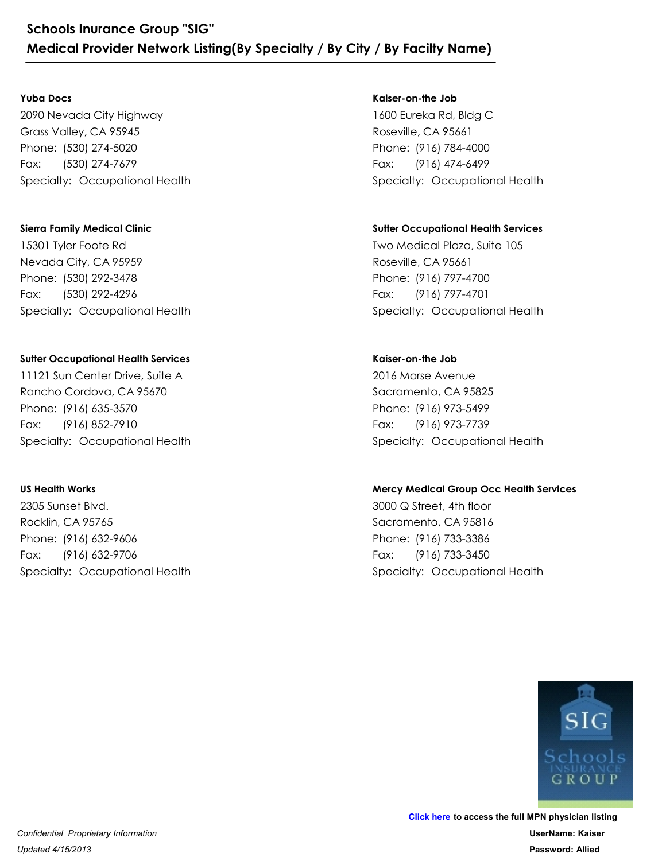#### **Yuba Docs**

2090 Nevada City Highway Grass Valley, CA 95945 Schools Inurance Group "SIG"<br>
Medical Provider Network Listing(By Specialty<br>
Yuba Docs<br>
2090 Nevada City Highway<br>
Grass Valley, CA 95945<br>
Phone: (530) 274-5020<br>
Fax: (530) 274-7679<br>Specialty: Occupational Health Schools Inurance Group "SIG"<br>
Medical Provider Network Listing(By<br>
Yuba Docs<br>
2090 Nevada City Highway<br>
Grass Valley, CA 95945<br>
Phone: (530) 274-5020<br>
Fax: (530) 274-7679<br>
Specialty: Occupational Health Fax: (530) 274-7679

### **Sierra Family Medical Clinic**

15301 Tyler Foote Rd Nevada City, CA 95959 Phone: (530) 274-5020<br>Fax: (530) 274-7679<br>Specialty: Occupational Health<br>Sierra Family Medical Clinic<br>I5301 Tyler Foote Rd<br>Nevada City, CA 95959<br>Phone: (530) 292-3478<br>Fax: (530) 292-4296<br>Specialty: Occupational Health 2090 Nevada City Highway<br>Grass Valley, CA 95945<br>Phone: (530) 274-5020<br>Fax: (530) 274-7679<br>Specialty: Occupational Health<br>Sierra Family Medical Clinic<br>I5301 Tyler Foote Rd<br>Nevada City, CA 95959<br>Phone: (530) 292-3478<br>Fax: (5 Fax: (530) 292-4296 15301 Tyler Foote Rd<br>Nevada City, CA 95959<br>Phone: (530) 292-3478<br>Fax: (530) 292-4296<br>Specialty: Occupational Health<br>Sutter Occupational Health Services<br>11121 Sun Center Drive, Suite A<br>Rancho Cordova, CA 95670<br>Phone: (916)

### **Sutter Occupational Health Services**

11121 Sun Center Drive, Suite A Rancho Cordova, CA 95670 Phone: (530) 292-3478<br>Fax: (530) 292-4296<br>Specialty: Occupational Health<br>Sutter Occupational Health Services<br>11121 Sun Center Drive, Suite A<br>Rancho Cordova, CA 95670<br>Phone: (916) 635-3570<br>Fax: (916) 852-7910<br>Specialty: Occ Fax: (916) 852-7910 11121 Sun Center Drive, Suite A<br>
Rancho Cordova, CA 95670<br>
Phone: (916) 635-3570<br>
Fax: (916) 852-7910<br>
Specialty: Occupational Health<br> **US Health Works**<br>
2305 Sunset Blvd.<br>
Rocklin, CA 95765<br>
Phone: (916) 632-9606<br>
Fax: (9

### **US Health Works**

2305 Sunset Blvd. Rocklin, CA 95765 Phone: (916) 635-3570<br>Fax: (916) 852-7910<br>Specialty: Occupational Health<br>US Health Works<br>2305 Sunset Blvd.<br>Rocklin, CA 95765<br>Phone: (916) 632-9706<br>Fax: (916) 632-9706<br>Specialty: Occupational Health Fax: (916) 632-9706

### **Kaiser-on-the Job**

1600 Eureka Rd, Bldg C Roseville, CA 95661 9 **By Facilty Name)**<br>
Suisser-on-the Job<br>
1600 Eureka Rd, Bldg C<br>
Roseville, CA 95661<br>
Phone: (916) 784-4000<br>
Fax: (916) 474-6499<br>
Specialty: Occupational Health **/ By Facilty Name)**<br> **Kaiser-on-the Job**<br>
1600 Eureka Rd, Bldg C<br>
Roseville, CA 95661<br>
Phone: (916) 784-4000<br>
Fax: (916) 474-6499<br>
Specialty: Occupational Health Fax: (916) 474-6499

### **Sutter Occupational Health Services**

Two Medical Plaza, Suite 105 Roseville, CA 95661 Phone: (916) 784-4000<br>Fax: (916) 474-6499<br>Specialty: Occupational Health<br>**Sutter Occupational Health Services**<br>Two Medical Plaza, Suite 105<br>Roseville, CA 95661<br>Phone: (916) 797-4700<br>Fax: (916) 797-4701<br>Specialty: Occupatio 1600 Eureka Rd, Bldg C<br>Roseville, CA 95661<br>Phone: (916) 784-4000<br>Fax: (916) 474-6499<br>Specialty: Occupational Health<br>Sutter Occupational Health Services<br>Two Medical Plaza, Suite 105<br>Roseville, CA 95661<br>Phone: (916) 797-4700 Fax: (916) 797-4701 Two Medical Plaza, Suite 105<br>Roseville, CA 95661<br>Phone: (916) 797-4700<br>Fax: (916) 797-4701<br>Specialty: Occupational Health<br>**Kaiser-on-the Job**<br>2016 Morse Avenue<br>Sacramento, CA 95825<br>Phone: (916) 973-5499<br>Fax: (916) 973-7739

### **Kaiser-on-the Job**

2016 Morse Avenue Sacramento, CA 95825 Phone: (916) 797-4700<br>Fax: (916) 797-4701<br>Specialty: Occupational Health<br>**Kaiser-on-the Job**<br>2016 Morse Avenue<br>Sacramento, CA 95825<br>Phone: (916) 973-5499<br>Fax: (916) 973-7739<br>Specialty: Occupational Health Fax: (916) 973-7739 2016 Morse Avenue<br>Sacramento, CA 95825<br>Phone: (916) 973-5499<br>Fax: (916) 973-7739<br>Specialty: Occupational Health<br>Mercy Medical Group Occ Health Services<br>3000 Q Street, 4th floor<br>Sacramento, CA 95816<br>Phone: (916) 733-3386<br>Fa

### **Mercy Medical Group Occ Health Services**

3000 Q Street, 4th floor Sacramento, CA 95816 Phone: (916) 973-5499<br>Fax: (916) 973-5499<br>Specialty: Occupational Health<br>Mercy Medical Group Occ Health Services<br>3000 Q Street, 4th floor<br>Sacramento, CA 95816<br>Phone: (916) 733-3386<br>Fax: (916) 733-3450<br>Specialty: Occupation Fax: (916) 733-3450

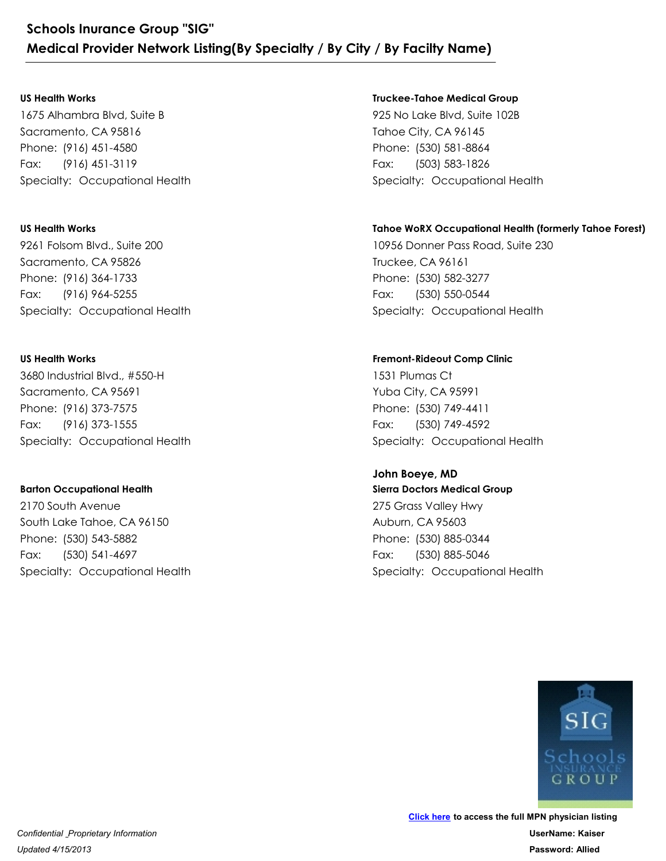#### **US Health Works**

1675 Alhambra Blvd, Suite B Sacramento, CA 95816 Schools Inurance Group "SIG"<br>
Medical Provider Network Listing(By Specialty<br>
US Health Works<br>
1675 Alhambra Blvd, Suite B<br>
Sacramento, CA 95816<br>
Phone: (916) 451-4580<br>
Fax: (916) 451-3119<br>
Specialty: Occupational Health Schools Inurance Group "SIG"<br>
Medical Provider Network Listing(By<br>
US Health Works<br>
1675 Alhambra Blvd, Suite B<br>
Sacramento, CA 95816<br>
Phone: (916) 451-4580<br>
Fax: (916) 451-3119<br>
Specialty: Occupational Health Fax: (916) 451-3119

### **US Health Works**

9261 Folsom Blvd., Suite 200 Sacramento, CA 95826 Phone: (916) 451-4580<br>Fax: (916) 451-3119<br>Specialty: Occupational Health<br>US Health Works<br>9261 Folsom Blvd., Suite 200<br>Sacramento, CA 95826<br>Phone: (916) 364-1733<br>Fax: (916) 964-5255<br>Specialty: Occupational Health 1675 Alhambra Blvd, Suite B<br>Sacramento, CA 95816<br>Phone: (916) 451-4580<br>Fax: (916) 451-3119<br>Specialty: Occupational Health<br>US Health Works<br>9261 Folsom Blvd., Suite 200<br>Sacramento, CA 95826<br>Phone: (916) 364-1733<br>Fax: (916) 9 Fax: (916) 964-5255

### **US Health Works**

3680 Industrial Blvd., #550-H Sacramento, CA 95691 Phone: (916) 364-1733<br>Fax: (916) 964-5255<br>Specialty: Occupational Health<br>US Health Works<br>3680 Industrial Blvd., #550-H<br>Sacramento, CA 95691<br>Phone: (916) 373-7575<br>Fax: (916) 373-1555<br>Specialty: Occupational Health 9261 Folsom Blvd., Suite 200<br>Sacramento, CA 95826<br>Phone: (916) 364-1733<br>Fax: (916) 964-5255<br>Specialty: Occupational Health<br>US Health Works<br>3680 Industrial Blvd., #550-H<br>Sacramento, CA 95691<br>Phone: (916) 373-7575<br>Fax: (916) Fax: (916) 373-1555 3680 Industrial Blvd., #550-H<br>Sacramento, CA 95691<br>Phone: (916) 373-7575<br>Fax: (916) 373-1555<br>Specialty: Occupational Health<br>**Barton Occupational Health**<br>2170 South Avenue<br>South Lake Tahoe, CA 96150<br>Phone: (530) 543-5882<br>Fa

### **Barton Occupational Health**

2170 South Avenue South Lake Tahoe, CA 96150 Phone: (916) 373-7575<br>
Fax: (916) 373-7575<br>
Specialty: Occupational Health<br> **Barton Occupational Health**<br>
2170 South Avenue<br>
South Lake Tahoe, CA 96150<br>
Phone: (530) 543-5882<br>
Fax: (530) 541-4697<br>
Specialty: Occupational H Fax: (530) 541-4697

### **Truckee-Tahoe Medical Group**

925 No Lake Blvd, Suite 102B Tahoe City, CA 96145 9 **By Facilty Name)**<br>Truckee-Tahoe Medical Group<br>P25 No Lake Blvd, Suite 102B<br>Tahoe City, CA 96145<br>Phone: (530) 581-8864<br>Fax: (503) 583-1826<br>Specialty: Occupational Health **/ By Facilty Name)**<br>
Truckee-Tahoe Medical Group<br>
925 No Lake Blvd, Suite 102B<br>
Tahoe City, CA 96145<br>
Phone: (530) 581-8864<br>
Fax: (503) 583-1826<br>
Specialty: Occupational Health Fax: (503) 583-1826

### **Tahoe WoRX Occupational Health (formerly Tahoe Forest)**

10956 Donner Pass Road, Suite 230 Truckee, CA 96161 Phone: (530) 581-8864<br>Fax: (503) 583-1826<br>Specialty: Occupational Health<br>**Tahoe WoRX Occupational Health (formerly Tahoe Forest)**<br>10956 Donner Pass Road, Suite 230<br>Truckee, CA 96161<br>Phone: (530) 582-3277<br>Fax: (530) 550-054 925 No Lake Blvd, Suite 102B<br>Tahoe City, CA 96145<br>Phone: (530) 581-8864<br>Fax: (503) 583-1826<br>Specialty: Occupational Health<br>**Tahoe WoRX Occupational Health (formerly Taho**<br>10956 Donner Pass Road, Suite 230<br>Truckee, CA 96161 Fax: (530) 550-0544 10956 Donner Pass Road, Suite 230<br>Truckee, CA 96161<br>Phone: (530) 582-3277<br>Fax: (530) 550-0544<br>Specialty: Occupational Health<br>**Fremont-Rideout Comp Clinic**<br>1531 Plumas Ct<br>Yuba City, CA 95991<br>Phone: (530) 749-4411<br>Fax: (530)

### **Fremont-Rideout Comp Clinic**

1531 Plumas Ct Yuba City, CA 95991 Phone: (530) 582-3277<br>Fax: (530) 550-0544<br>Specialty: Occupational Health<br>Fremont-Rideout Comp Clinic<br>1531 Plumas Ct<br>Yuba City, CA 95991<br>Phone: (530) 749-4411<br>Fax: (530) 749-4592<br>Specialty: Occupational Health<br>**John Boeye,** Fax: (530) 749-4592

### **John Boeye, MD**

**Sierra Doctors Medical Group** 275 Grass Valley Hwy Auburn, CA 95603 Phone: (530) 749-4411<br>Fax: (530) 749-4411<br>Fax: (530) 749-4592<br>Specialty: Occupational Health<br>**John Boeye, MD**<br>Sierra Doctors Medical Group<br>275 Grass Valley Hwy<br>Auburn, CA 95603<br>Phone: (530) 885-0344<br>Fax: (530) 885-5046<br>Spe 1531 Plumas Ct<br>Yuba City, CA 95991<br>Phone: (530) 749-4411<br>Fax: (530) 749-4592<br>Specialty: Occupational Health<br>**John Boeye, MD**<br>**Sierra Doctors Medical Group**<br>275 Grass Valley Hwy<br>Auburn, CA 95603<br>Phone: (530) 885-0344<br>Fax: ( Fax: (530) 885-5046

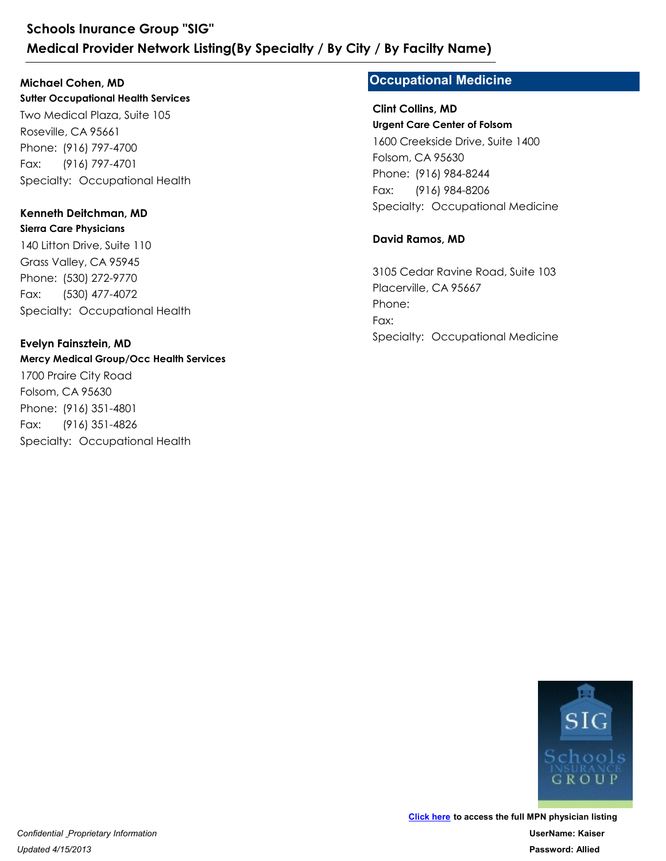**Sutter Occupational Health Services** Two Medical Plaza, Suite 105 Roseville, CA 95661 Schools Inurance Group "SIG"<br>
Medical Provider Network Listing(By Specialty<br>
Michael Cohen, MD<br>
Sutter Occupational Health Services<br>
Two Medical Plaza, Suite 105<br>
Roseville, CA 95661<br>
Phone: (916) 797-4700<br>
Fax: (916) 797-Schools Inurance Group "SIG"<br>
Medical Provider Network Listing(By<br>
Michael Cohen, MD<br>
Sutter Occupational Health Services<br>
Two Medical Plaza, Suite 105<br>
Roseville, CA 95661<br>
Phone: (916) 797-4700<br>
Fax: (916) 797-4701<br>
Spec Fax: (916) 797-4701 **Michael Cohen, MD**

### **Kenneth Deitchman, MD**

**Sierra Care Physicians** 140 Litton Drive, Suite 110 Grass Valley, CA 95945 Phone: (916) 797-4700<br>Fax: (916) 797-4701<br>Specialty: Occupational Health<br>**Kenneth Deitchman, MD**<br>**Sierra Care Physicians**<br>140 Litton Drive, Suite 110<br>Grass Valley, CA 95945<br>Phone: (530) 272-9770<br>Fax: (530) 477-4072<br>Special Two Medical Plaza, Suite 105<br>Roseville, CA 95661<br>Phone: (916) 797-4700<br>Fax: (916) 797-4701<br>Specialty: Occupational Health<br>**Kenneth Deitchman, MD**<br>**Sierra Care Physicians**<br>140 Litton Drive, Suite 110<br>Grass Valley, CA 95945<br> Fax: (530) 477-4072

### **Evelyn Fainsztein, MD**

*Updated 4/15/2013*

**Mercy Medical Group/Occ Health Services** 1700 Praire City Road Folsom, CA 95630 Phone: (530) 272-9770<br>Fax: (530) 477-4072<br>Specialty: Occupational Health<br>**Evelyn Fainsztein, MD**<br>**Mercy Medical Group/Occ Health Services**<br>1700 Praire City Road<br>Folsom, CA 95630<br>Phone: (916) 351-4826<br>Specialty: Occupationa 140 Litton Drive, Suite 110<br>Grass Valley, CA 95945<br>Phone: (530) 272-9770<br>Fax: (530) 477-4072<br>Specialty: Occupational Health<br>**Evelyn Fainsztein, MD**<br>**Mercy Medical Group/Occ Health Services**<br>1700 Praire City Road<br>Folsom, CA Fax: (916) 351-4826

### **Occupational Medicine**

**Urgent Care Center of Folsom** 1600 Creekside Drive, Suite 1400 Folsom, CA 95630 **Specialty Name)<br>
Script Collins, MD<br>
Clint Collins, MD<br>
Urgent Care Center of Folsom<br>
1600 Creekside Drive, Suite 1400<br>
Folsom, CA 95630<br>
Phone: (916) 984-8244<br>
Fax: (916) 984-8206<br>
Specialty: Occupational Medicine<br>
David Phone: (916) 984-8244**<br> **Phone: (916) 984-8244**<br> **Phone: (916) 984-8244**<br>
Phone: (916) 984-8244<br>
Fax: (916) 984-8244<br>
Fax: (916) 984-8206<br>
Specialty: Occupational Medicine Fax: (916) 984-8206 **Clint Collins, MD**

### **David Ramos, MD**

3105 Cedar Ravine Road, Suite 103 Placerville, CA 95667 Phone: (916) 984-8244<br>Fax: (916) 984-8206<br>Specialty: Occupational Medicine<br>**David Ramos, MD**<br>3105 Cedar Ravine Road, Suite 103<br>Placerville, CA 95667<br>Phone:<br>Fax:<br>Specialty: Occupational Medicine Phone: Fax:

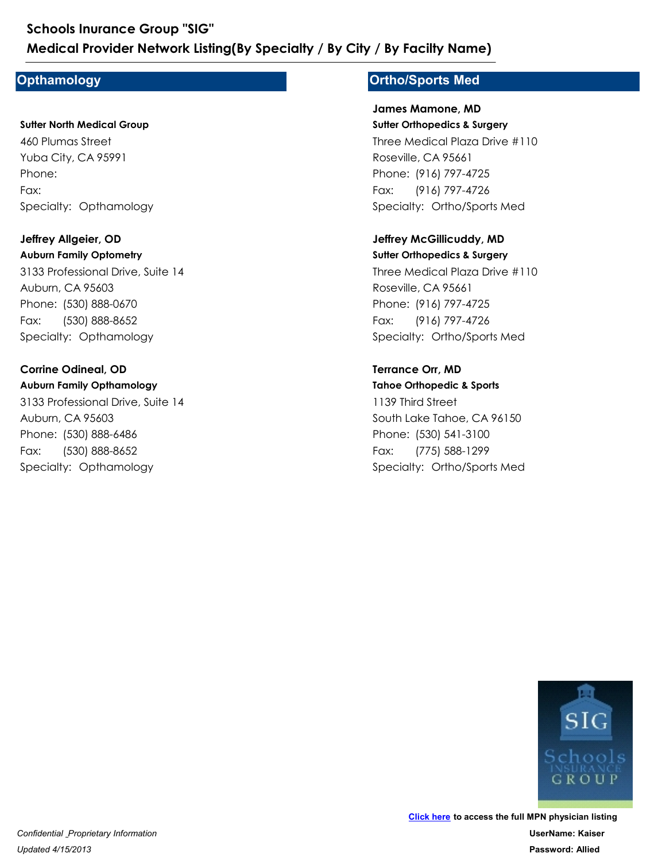### **Opthamology**

**Sutter North Medical Group** 460 Plumas Street Yuba City, CA 95991 Medical Provider Network Listing(By Species Indiance Croop 310<br>Dpthamology<br>Sutter North Medical Group<br>460 Plumas Street<br>Yuba City, CA 95991<br>Phone:<br>Fax:<br>Specialty: Opthamology<br>Jeffrey Allgeier, OD Phone: Fax:

**Auburn Family Optometry** 3133 Professional Drive, Suite 14 Auburn, CA 95603 Phone:<br>Fax:<br>Specialty: Opthamology<br>**Jeffrey Allgeier, OD<br>Auburn Family Optometry**<br>3133 Professional Drive, Suite 14<br>Auburn, CA 95603<br>Phone: (530) 888-0670<br>Fax: (530) 888-8652<br>Specialty: Opthamology<br>**Corrine Odineal, OD** 460 Plumas Street<br>Yuba City, CA 95991<br>Phone:<br>Fax:<br>Specialty: Opthamology<br>**Jeffrey Allgeier, OD<br>Auburn Family Optometry**<br>3133 Professional Drive, Suite 14<br>Auburn, CA 95603<br>Phone: (530) 888-0670<br>Fax: (530) 888-0670<br>Fax: (530 Fax: (530) 888-8652 **Jeffrey Allgeier, OD** 3133 Professional Drive, Suite 14<br>Auburn, CA 95603<br>Phone: (530) 888-0670<br>Fax: (530) 888-8652<br>Specialty: Opthamology<br>**Corrine Odineal, OD**<br>**Auburn Family Opthamology**<br>3133 Professional Drive, Suite 14<br>Auburn, CA 95603<br>Phone

#### **Auburn Family Opthamology Corrine Odineal, OD**

3133 Professional Drive, Suite 14 Auburn, CA 95603 Phone: (530) 888-0670<br>Fax: (530) 888-8652<br>Specialty: Opthamology<br>**Corrine Odineal, OD**<br>**Auburn Family Opthamology**<br>3133 Professional Drive, Suite 14<br>Auburn, CA 95603<br>Phone: (530) 888-6486<br>Fax: (530) 888-8652<br>Specialty: Opt Fax: (530) 888-8652

### **Ortho/Sports Med**

**Sutter Orthopedics & Surgery** Three Medical Plaza Drive #110 Roseville, CA 95661 **/ By Facilty Name)**<br> **Ortho/Sports Med**<br>
James Mamone, MD<br>
Sutter Orthopedics & Surgery<br>
Three Medical Plaza Drive #110<br>
Roseville, CA 95661<br>
Phone: (916) 797-4725<br>
Fax: (916) 797-4726<br>
Specialty: Ortho/Sports Med<br> **Jeffr / By Facilty Name)<br>Drtho/Sports Med<br>James Mamone, MD<br>Sutter Orthopedics & Surgery<br>Three Medical Plaza Drive #110<br>Roseville, CA 95661<br>Phone: (916) 797-4725<br>Fax: (916) 797-4726<br>Specialty: Ortho/Sports Med** Fax: (916) 797-4726 **James Mamone, MD**

**Jeffrey McGillicuddy, MD**

**Sutter Orthopedics & Surgery** Three Medical Plaza Drive #110 Roseville, CA 95661 Phone: (916) 797-4725<br>Fax: (916) 797-4726<br>Specialty: Ortho/Sports Med<br>**Jeffrey McGillicuddy, MD**<br>**Sutter Orthopedics & Surgery**<br>Three Medical Plaza Drive #110<br>Roseville, CA 95661<br>Phone: (916) 797-4725<br>Fax: (916) 797-4726<br>S Three Medical Plaza Drive #110<br>Roseville, CA 95661<br>Phone: (916) 797-4725<br>Fax: (916) 797-4726<br>Specialty: Ortho/Sports Med<br>**Jeffrey McGillicuddy, MD**<br>**Sutter Orthopedics & Surgery**<br>Three Medical Plaza Drive #110<br>Roseville, C Fax: (916) 797-4726

### **Terrance Orr, MD**

**Tahoe Orthopedic & Sports** 1139 Third Street South Lake Tahoe, CA 96150 Phone: (916) 797-4725<br>Fax: (916) 797-4726<br>Specialty: Ortho/Sports Med<br>**Terrance Orr, MD**<br>**Tahoe Orthopedic & Sports**<br>1139 Third Street<br>South Lake Tahoe, CA 96150<br>Phone: (530) 541-3100<br>Fax: (775) 588-1299<br>Specialty: Ortho/S Three Medical Plaza Drive #110<br>Roseville, CA 95661<br>Phone: (916) 797-4725<br>Fax: (916) 797-4726<br>Specialty: Ortho/Sports Med<br>**Terrance Orr, MD**<br>**Tahoe Orthopedic & Sports**<br>1139 Third Street<br>South Lake Tahoe, CA 96150<br>Phone: (5 Fax: (775) 588-1299

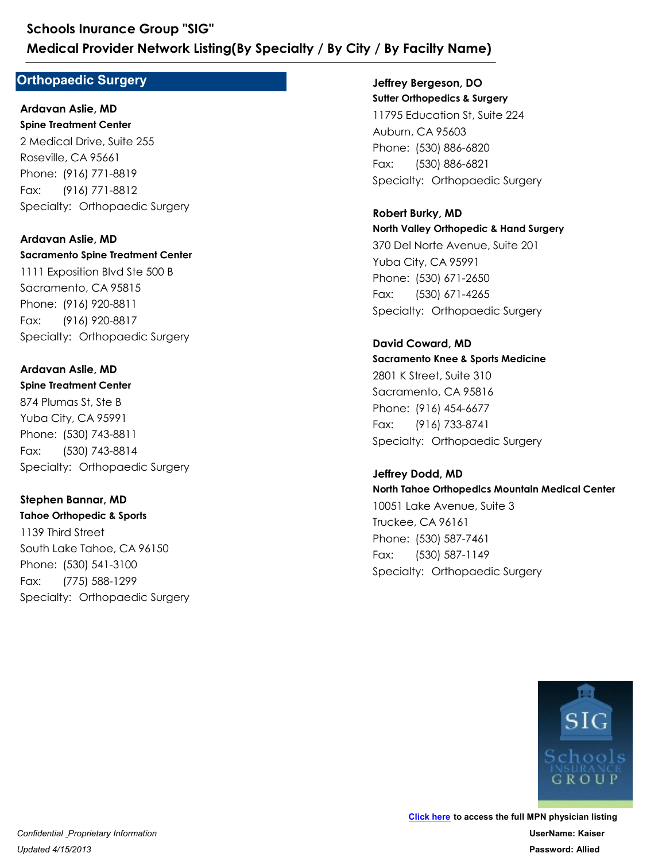### **Orthopaedic Surgery**

**Spine Treatment Center** 2 Medical Drive, Suite 255 Roseville, CA 95661 Medical Provider Network Listing(By Special<br>
Orthopaedic Surgery<br>
Ardavan Aslie, MD<br>
Spine Treatment Center<br>
2 Medical Drive, Suite 255<br>
Roseville, CA 95661<br>
Phone: (916) 771-8819<br>
Fax: (916) 771-8812<br>
Specialty: Orthopaed Schools Inurance Group "SIG"<br>
Medical Provider Network Listing(By<br>
Orthopaedic Surgery<br>
Ardavan Aslie, MD<br>
Spine Treatment Center<br>
2 Medical Drive, Suite 255<br>
Roseville, CA 95661<br>
Phone: (916) 771-8819<br>
Fax: (916) 771-8812 Fax: (916) 771-8812 **Ardavan Aslie, MD**

**Sacramento Spine Treatment Center** 1111 Exposition Blvd Ste 500 B Sacramento, CA 95815 Phone: (916) 771-8819<br>Fax: (916) 771-8812<br>Specialty: Orthopaedic Surgery<br>**Ardavan Aslie, MD**<br>**Sacramento Spine Treatment Center**<br>1111 Exposition Blvd Ste 500 B<br>Sacramento, CA 95815<br>Phone: (916) 920-8811<br>Fax: (916) 920-8817 2 Medical Drive, Suite 255<br>
Roseville, CA 95661<br>
Phone: (916) 771-8819<br>
Fax: (916) 771-8812<br>
Specialty: Orthopaedic Surgery<br> **Ardavan Aslie, MD**<br> **Sacramento Spine Treatment Center**<br>
1111 Exposition Blvd Ste 500 B<br>
Sacrame Fax: (916) 920-8817 **Ardavan Aslie, MD**

**Spine Treatment Center** 874 Plumas St, Ste B Yuba City, CA 95991 Phone: (916) 920-8811<br>Fax: (916) 920-8817<br>Specialty: Orthopaedic Surgery<br>**Ardavan Aslie, MD**<br>**Spine Treatment Center**<br>874 Plumas St, Ste B<br>Yuba City, CA 95991<br>Phone: (530) 743-8811<br>Fax: (530) 743-8814<br>Specialty: Orthopaedi 1111 Exposition Blvd Ste 500 B<br>Sacramento, CA 95815<br>Phone: (916) 920-8811<br>Fax: (916) 920-8817<br>Specialty: Orthopaedic Surgery<br>**Ardavan Aslie, MD**<br>**Spine Treatment Center**<br>874 Plumas St, Ste B<br>Yuba City, CA 95991<br>Phone: (530 Fax: (530) 743-8814 **Ardavan Aslie, MD**

**Tahoe Orthopedic & Sports** 1139 Third Street South Lake Tahoe, CA 96150 Phone: (530) 743-8811<br>Fax: (530) 743-8814<br>Specialty: Orthopaedic Surgery<br>**Stephen Bannar, MD**<br>**Stephen Bannar, MD**<br>**Tahoe Orthopedic & Sports**<br>1139 Third Street<br>South Lake Tahoe, CA 96150<br>Phone: (530) 541-3100<br>Fax: (775) 5 874 Plumas St, Ste B<br>Yuba City, CA 95991<br>Phone: (530) 743-8811<br>Fax: (530) 743-8814<br>Specialty: Orthopaedic Surgery<br>**Stephen Bannar, MD**<br>**Tahoe Orthopedic & Sports**<br>1139 Third Street<br>South Lake Tahoe, CA 96150<br>Phone: (530) 5 Fax: (775) 588-1299 **Stephen Bannar, MD**

**Sutter Orthopedics & Surgery** 11795 Education St, Suite 224 Auburn, CA 95603 **/ By Facilty Name)**<br>Jeffrey Bergeson, DO<br>Sutter Orthopedics & Surgery<br>11795 Education St, Suite 224<br>Auburn, CA 95603<br>Phone: (530) 886-6820<br>Fax: (530) 886-6821<br>Specialty: Orthopaedic Surgery<br>Robert Burky, MD **/ By Facilty Name)**<br>Jeffrey Bergeson, DO<br>Sutter Orthopedics & Surgery<br>11795 Education St, Suite 224<br>Auburn, CA 95603<br>Phone: (530) 886-6820<br>Fax: (530) 886-6821<br>Specialty: Orthopaedic Surgery Fax: (530) 886-6821 **Jeffrey Bergeson, DO**

**North Valley Orthopedic & Hand Surgery** 370 Del Norte Avenue, Suite 201 Yuba City, CA 95991 Phone: (530) 886-6820<br>Fax: (530) 886-6821<br>Specialty: Orthopaedic Surgery<br>**Robert Burky, MD**<br>**Robert Burky, MD**<br>**North Valley Orthopedic & Hand Surgery**<br>370 Del Norte Avenue, Suite 201<br>Yuba City, CA 95991<br>Phone: (530) 671-2 11795 Education St, Suite 224<br>Auburn, CA 95603<br>Phone: (530) 886-6820<br>Fax: (530) 886-6821<br>Specialty: Orthopaedic Surgery<br>**Robert Burky, MD**<br>**North Valley Orthopedic & Hand Surgery**<br>370 Del Norte Avenue, Suite 201<br>Yuba City, Fax: (530) 671-4265 **Robert Burky, MD**

**Sacramento Knee & Sports Medicine** 2801 K Street, Suite 310 Sacramento, CA 95816 Phone: (530) 671-2650<br>Fax: (530) 671-4265<br>Specialty: Orthopaedic Surgery<br>**David Coward, MD**<br>**Sacramento Knee & Sports Medicine**<br>2801 K Street, Suite 310<br>Sacramento, CA 95816<br>Phone: (916) 454-6677<br>Fax: (916) 733-8741<br>Specia 370 Del Norte Avenue, Suite 201<br>
Yuba City, CA 95991<br>
Phone: (530) 671-2650<br>
Fax: (530) 671-4265<br>
Specialty: Orthopaedic Surgery<br> **David Coward, MD**<br> **Sacramento Knee & Sports Medicine**<br>
2801 K Street, Suite 310<br>
Sacrament Fax: (916) 733-8741 **David Coward, MD**

**North Tahoe Orthopedics Mountain Medical Center** 10051 Lake Avenue, Suite 3 Truckee, CA 96161 Phone: (916) 454-6677<br>Fax: (916) 733-8741<br>Specialty: Orthopaedic Surgery<br>**Jeffrey Dodd, MD**<br>**North Tahoe Orthopedics Mountain Medical Center**<br>10051 Lake Avenue, Suite 3<br>Truckee, CA 96161<br>Phone: (530) 587-7461<br>Fax: (530) 58 2801 K Street, Suite 310<br>Sacramento, CA 95816<br>Phone: (916) 454-6677<br>Fax: (916) 733-8741<br>Specialty: Orthopaedic Surgery<br>**Jeffrey Dodd, MD**<br>**North Tahoe Orthopedics Mountain Medical Cent**<br>10051 Lake Avenue, Suite 3<br>Truckee, Fax: (530) 587-1149 **Jeffrey Dodd, MD**

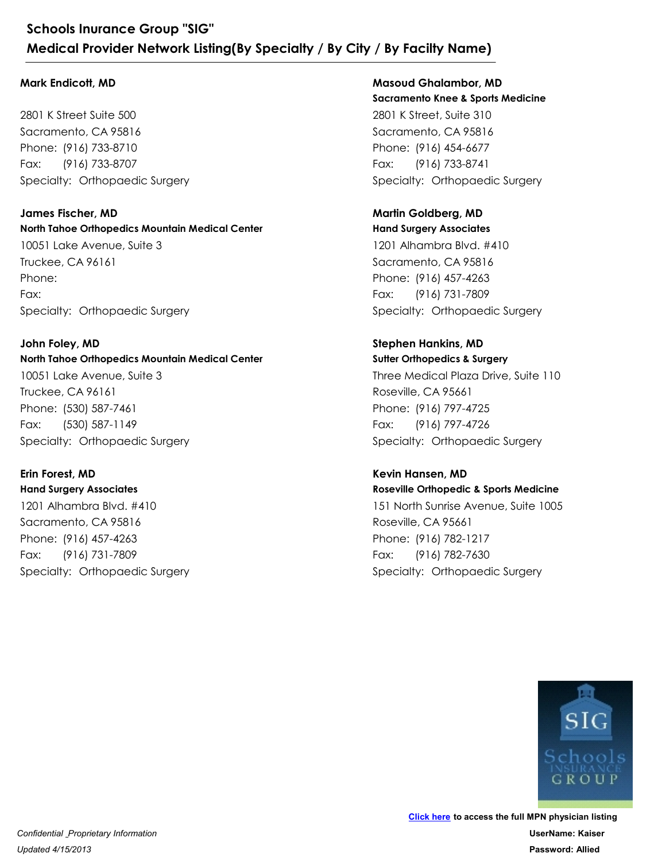#### **Mark Endicott, MD**

2801 K Street Suite 500 Sacramento, CA 95816 Schools Inurance Group "SIG"<br>
Medical Provider Network Listing(By Special<br>
Mark Endicott, MD<br>
2801 K Street Suite 500<br>
Sacramento, CA 95816<br>
Phone: (916) 733-8710<br>
Fax: (916) 733-8707<br>
Specialty: Orthopaedic Surgery<br>
James Schools Inurance Group "SIG"<br>
Medical Provider Network Listing(By<br>
Mark Endicott, MD<br>
2801 K Street Suite 500<br>
Sacramento, CA 95816<br>
Phone: (916) 733-8710<br>
Fax: (916) 733-8707<br>
Specialty: Orthopaedic Surgery Fax: (916) 733-8707

**North Tahoe Orthopedics Mountain Medical Center** 10051 Lake Avenue, Suite 3 Truckee, CA 96161 Phone: (916) 733-8710<br>Fax: (916) 733-8707<br>Specialty: Orthopaedic Surgery<br>**James Fischer, MD**<br>**North Tahoe Orthopedics Mountain Medical Center**<br>10051 Lake Avenue, Suite 3<br>Truckee, CA 96161<br>Phone:<br>Fax:<br>Specialty: Orthopaedic Phone: Fax: **James Fischer, MD** Phone:<br>Fax:<br>Specialty: Orthopaedic Surgery<br>**John Foley, MD**<br>**North Tahoe Orthopedics Mountain Medical Center**<br>10051 Lake Avenue, Suite 3<br>Truckee, CA 96161<br>Phone: (530) 587-7461<br>Fax: (530) 587-1149<br>Specialty: Orthopaedic Su 10051 Lake Avenue, Suite 3<br>Truckee, CA 96161<br>Phone:<br>Fax:<br>Specialty: Orthopaedic Surgery<br>**John Foley, MD**<br>**North Tahoe Orthopedics Mountain Medical Cent**<br>10051 Lake Avenue, Suite 3<br>Truckee, CA 96161<br>Phone: (530) 587-7461<br>Fa

#### **North Tahoe Orthopedics Mountain Medical Center** 10051 Lake Avenue, Suite 3 **John Foley, MD**

Truckee, CA 96161 Fax: (530) 587-1149

### **Erin Forest, MD**

**Hand Surgery Associates** 1201 Alhambra Blvd. #410 Sacramento, CA 95816 Phone: (530) 587-7461<br>Fax: (530) 587-7461<br>Fax: (530) 587-1149<br>Specialty: Orthopaedic Surgery<br>**Erin Forest, MD**<br>**Hand Surgery Associates**<br>1201 Alhambra Blvd. #410<br>Sacramento, CA 95816<br>Phone: (916) 457-4263<br>Fax: (916) 731-78 10051 Lake Avenue, Suite 3<br>Truckee, CA 96161<br>Phone: (530) 587-7461<br>Fax: (530) 587-1149<br>Specialty: Orthopaedic Surgery<br>**Erin Forest, MD**<br>**Hand Surgery Associates**<br>1201 Alhambra Blvd. #410<br>Sacramento, CA 95816<br>Phone: (916) 4 Fax: (916) 731-7809

**Sacramento Knee & Sports Medicine** 2801 K Street, Suite 310 Sacramento, CA 95816 **/ By Facilty Name)**<br>
Masoud Ghalambor, MD<br>
Sacramento Knee & Sports Medicine<br>
2801 K Street, Suite 310<br>
Sacramento, CA 95816<br>
Phone: (916) 454-6677<br>
Fax: (916) 733-8741<br>
Specialty: Orthopaedic Surgery<br>
Martin Goldberg, MD **/ By Facilty Name)**<br> **Masoud Ghalambor, MD<br>
Sacramento Knee & Sports Medicine**<br>
2801 K Street, Suite 310<br>
Sacramento, CA 95816<br>
Phone: (916) 454-6677<br>
Fax: (916) 733-8741<br>
Specialty: Orthopaedic Surgery Fax: (916) 733-8741 **Masoud Ghalambor, MD**

### **Martin Goldberg, MD**

**Hand Surgery Associates** 1201 Alhambra Blvd. #410 Sacramento, CA 95816 Phone: (916) 454-6677<br>Fax: (916) 733-8741<br>Specialty: Orthopaedic Surgery<br>**Martin Goldberg, MD**<br>**Hand Surgery Associates**<br>1201 Alhambra Blvd. #410<br>Sacramento, CA 95816<br>Phone: (916) 457-4263<br>Fax: (916) 731-7809<br>Specialty: Or 2801 K Street, Suite 310<br>Sacramento, CA 95816<br>Phone: (916) 454-6677<br>Fax: (916) 733-8741<br>Specialty: Orthopaedic Surgery<br>**Martin Goldberg, MD**<br>**Hand Surgery Associates**<br>1201 Alhambra Blvd. #410<br>Sacramento, CA 95816<br>Phone: (9 Fax: (916) 731-7809

### **Stephen Hankins, MD**

**Sutter Orthopedics & Surgery** Three Medical Plaza Drive, Suite 110 Roseville, CA 95661 Phone: (916) 457-4263<br>Fax: (916) 731-7809<br>Specialty: Orthopaedic Surgery<br>**Stephen Hankins, MD**<br>**Stephen Hankins, MD**<br>**Stephen Hankins, MD**<br>Three Medical Plaza Drive, Suite 110<br>Roseville, CA 95661<br>Phone: (916) 797-4725<br>Fax: 1201 Alhambra Blvd. #410<br>Sacramento, CA 95816<br>Phone: (916) 457-4263<br>Fax: (916) 731-7809<br>Specialty: Orthopaedic Surgery<br>**Stephen Hankins, MD**<br>**Stephen Hankins, MD**<br>**Stephen Hankins, MD**<br>Three Medical Plaza Drive, Suite 110<br> Fax: (916) 797-4726 Three Medical Plaza Drive, Suite 110<br>Roseville, CA 95661<br>Phone: (916) 797-4725<br>Fax: (916) 797-4726<br>Specialty: Orthopaedic Surgery<br>**Kevin Hansen, MD**<br>**Roseville Orthopedic & Sports Medicine**<br>151 North Sunrise Avenue, Suite

### **Roseville Orthopedic & Sports Medicine** 151 North Sunrise Avenue, Suite 1005 **Kevin Hansen, MD**

Roseville, CA 95661 Phone: (916) 797-4725<br>Fax: (916) 797-4726<br>Specialty: Orthopaedic Surgery<br>**Kevin Hansen, MD**<br>**Roseville Orthopedic & Sports Medicine**<br>151 North Sunrise Avenue, Suite 1005<br>Roseville, CA 95661<br>Phone: (916) 782-1217<br>Fax: (916) Fax: (916) 782-7630

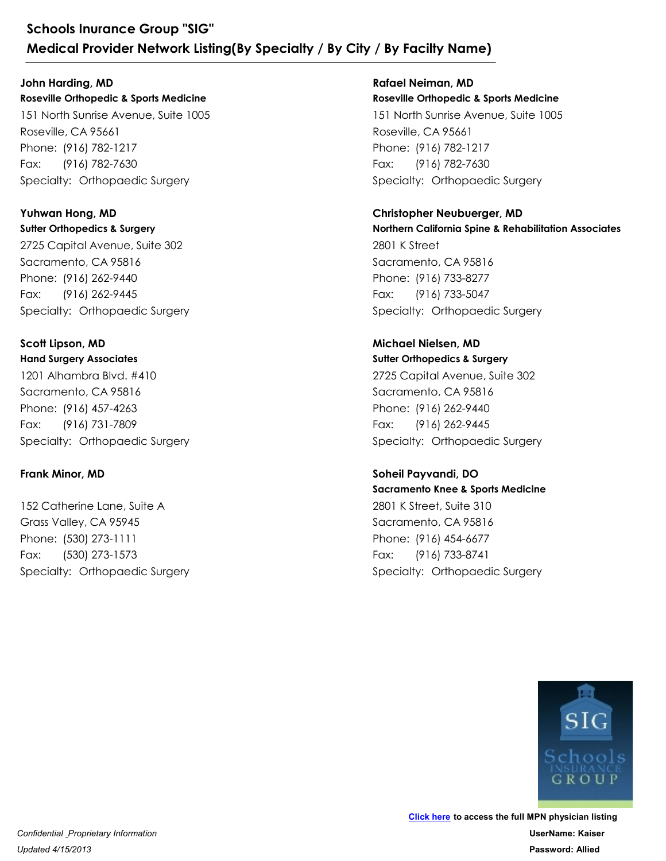**Roseville Orthopedic & Sports Medicine** 151 North Sunrise Avenue, Suite 1005 Roseville, CA 95661 Schools Inurance Group "SIG"<br>
Medical Provider Network Listing(By Special<br>
John Harding, MD<br>
Roseville Orthopedic & Sports Medicine<br>
151 North Sunrise Avenue, Suite 1005<br>
Roseville, CA 95661<br>
Phone: (916) 782-1217<br>
Fax: (9 Schools Inurance Group "SIG"<br>
Medical Provider Network Listing(By<br>
John Harding, MD<br>
Roseville Orthopedic & Sports Medicine<br>
151 North Sunrise Avenue, Suite 1005<br>
Roseville, CA 95661<br>
Phone: (916) 782-1217<br>
Fax: (916) 782-Fax: (916) 782-7630 **John Harding, MD**

**Sutter Orthopedics & Surgery** 2725 Capital Avenue, Suite 302 Sacramento, CA 95816 Phone: (916) 782-1217<br>Fax: (916) 782-7630<br>Specialty: Orthopaedic Surgery<br>**Yuhwan Hong, MD**<br>Sutter Orthopedics & Surgery<br>2725 Capital Avenue, Suite 302<br>Sacramento, CA 95816<br>Phone: (916) 262-9440<br>Fax: (916) 262-9445<br>Specialt 151 North Sunrise Avenue, Suite 1005<br>Roseville, CA 95661<br>Phone: (916) 782-1217<br>Fax: (916) 782-7630<br>Specialty: Orthopaedic Surgery<br>**Yuhwan Hong, MD**<br>**Sutter Orthopedics & Surgery**<br>2725 Capital Avenue, Suite 302<br>Sacramento, Fax: (916) 262-9445 **Yuhwan Hong, MD**

**Hand Surgery Associates** 1201 Alhambra Blvd. #410 Sacramento, CA 95816 Phone: (916) 262-9440<br>Fax: (916) 262-9445<br>Specialty: Orthopaedic Surgery<br>**Scott Lipson, MD**<br>**Hand Surgery Associates**<br>1201 Alhambra Blvd. #410<br>Sacramento, CA 95816<br>Phone: (916) 457-4263<br>Fax: (916) 731-7809<br>Specialty: Ortho 2725 Capital Avenue, Suite 302<br>Sacramento, CA 95816<br>Phone: (916) 262-9440<br>Fax: (916) 262-9445<br>Specialty: Orthopaedic Surgery<br>**Scott Lipson, MD**<br>**Hand Surgery Associates**<br>1201 Alhambra Blvd. #410<br>Sacramento, CA 95816<br>Phone: Fax: (916) 731-7809 **Scott Lipson, MD** 1201 Alhambra Blvd. #410<br>Sacramento, CA 95816<br>Phone: (916) 457-4263<br>Fax: (916) 731-7809<br>Specialty: Orthopaedic Surgery<br>**Frank Minor, MD**<br>152 Catherine Lane, Suite A<br>Grass Valley, CA 95945<br>Phone: (530) 273-1111<br>Fax: (530) 2

### **Frank Minor, MD**

152 Catherine Lane, Suite A Grass Valley, CA 95945 Phone: (916) 457-4263<br>Fax: (916) 731-7809<br>Specialty: Orthopaedic Surgery<br>**Frank Minor, MD**<br>152 Catherine Lane, Suite A<br>Grass Valley, CA 95945<br>Phone: (530) 273-1111<br>Fax: (530) 273-1573<br>Specialty: Orthopaedic Surgery Fax: (530) 273-1573

**Roseville Orthopedic & Sports Medicine** 151 North Sunrise Avenue, Suite 1005 Roseville, CA 95661 **/ By Facilty Name)**<br>
Rafael Neiman, MD<br>
Roseville Orthopedic & Sports Medicine<br>
151 North Sunrise Avenue, Suite 1005<br>
Roseville, CA 95661<br>
Phone: (916) 782-1217<br>
Fax: (916) 782-7630<br>
Specialty: Orthopaedic Surgery<br>
Christ **/ By Facilty Name)**<br>
Rafael Neiman, MD<br>
Roseville Orthopedic & Sports Medicine<br>
151 North Sunrise Avenue, Suite 1005<br>
Roseville, CA 95661<br>
Phone: (916) 782-1217<br>
Fax: (916) 782-7630<br>
Specialty: Orthopaedic Surgery Fax: (916) 782-7630 **Rafael Neiman, MD**

**Christopher Neubuerger, MD**

**Northern California Spine & Rehabilitation Associates** 2801 K Street Sacramento, CA 95816 Phone: (916) 782-1217<br>Fax: (916) 782-7630<br>Specialty: Orthopaedic Surgery<br>**Christopher Neubuerger, MD**<br>**Northern California Spine & Rehabilitation Associates**<br>2801 K Street<br>Sacramento, CA 95816<br>Phone: (916) 733-8277<br>Fax: (9 151 North Sunrise Avenue, Suite 1005<br>Roseville, CA 95661<br>Phone: (916) 782-1217<br>Fax: (916) 782-7630<br>Specialty: Orthopaedic Surgery<br>**Christopher Neubuerger, MD**<br>**Northern California Spine & Rehabilitation Associc**<br>2801 K Str Fax: (916) 733-5047 2801 K Street<br>Sacramento, CA 95816<br>Phone: (916) 733-8277<br>Fax: (916) 733-5047<br>Specialty: Orthopaedic Surgery<br>**Michael Nielsen, MD**<br>**Surter Orthopedics & Surgery**<br>2725 Capital Avenue, Suite 302<br>Sacramento, CA 95816<br>Phone: (9

**Sutter Orthopedics & Surgery Michael Nielsen, MD**

2725 Capital Avenue, Suite 302 Sacramento, CA 95816 Phone: (916) 733-8277<br>Fax: (916) 733-5047<br>Specialty: Orthopaedic Surgery<br>**Michael Nielsen, MD**<br>**Surter Orthopedics & Surgery**<br>2725 Capital Avenue, Suite 302<br>Sacramento, CA 95816<br>Phone: (916) 262-9440<br>Fax: (916) 262-9445<br>Sp Fax: (916) 262-9445

**Sacramento Knee & Sports Medicine** 2801 K Street, Suite 310 Sacramento, CA 95816 Phone: (916) 262-9440<br>Fax: (916) 262-9445<br>Specialty: Orthopaedic Surgery<br>Soheil Payvandi, DO<br>Sacramento Knee & Sports Medicine<br>2801 K Street, Suite 310<br>Sacramento, CA 95816<br>Phone: (916) 454-6677<br>Fax: (916) 733-8741<br>Special 2725 Capital Avenue, Suite 302<br>Sacramento, CA 95816<br>Phone: (916) 262-9440<br>Fax: (916) 262-9445<br>Specialty: Orthopaedic Surgery<br>**Soheil Payvandi, DO**<br>**Sacramento Knee & Sports Medicine**<br>2801 K Street, Suite 310<br>Sacramento, CA Fax: (916) 733-8741 **Soheil Payvandi, DO**

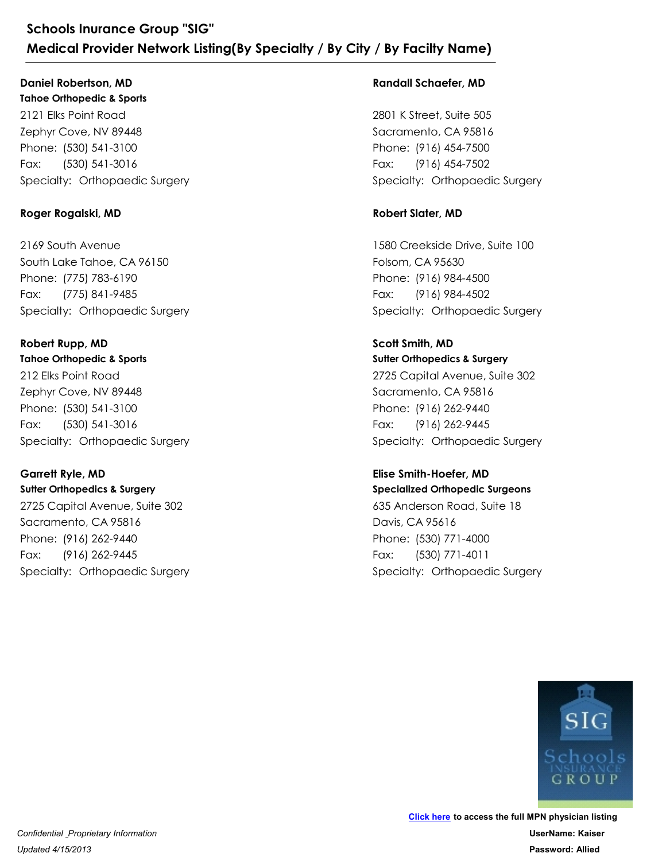### **Daniel Robertson, MD**

**Tahoe Orthopedic & Sports** 2121 Elks Point Road Zephyr Cove, NV 89448 Schools Inurance Group "SIG"<br>
Medical Provider Network Listing(By Special<br>
Daniel Robertson, MD<br>
Tahoe Orthopedic & Sports<br>
2121 Elks Point Road<br>
Zephyr Cove, NV 89448<br>
Phone: (530) 541-3100<br>
Fax: (530) 541-3016<br>
Specialty Schools Inurance Group "SIG"<br>
Medical Provider Network Listing(By<br>
Daniel Robertson, MD<br>
Tahoe Orthopedic & Sports<br>
2121 Elks Point Road<br>
Zephyr Cove, NV 89448<br>
Phone: (530) 541-3100<br>
Fax: (530) 541-3016<br>
Specialty: Orthop Fax: (530) 541-3016 2121 Elks Point Road<br>Zephyr Cove, NV 89448<br>Phone: (530) 541-3100<br>Fax: (530) 541-3116<br>Specialty: Orthopaedic Surgery<br>**Roger Rogalski, MD**<br>2169 South Avenue<br>South Lake Tahoe, CA 96150<br>Phone: (775) 783-6190<br>Fax: (775) 841-948

### **Roger Rogalski, MD**

2169 South Avenue South Lake Tahoe, CA 96150 Phone: (530) 541-3100<br>Fax: (530) 541-3100<br>Specialty: Orthopaedic Surgery<br>**Roger Rogalski, MD**<br>2169 South Avenue<br>South Lake Tahoe, CA 96150<br>Phone: (775) 783-6190<br>Fax: (775) 841-9485<br>Specialty: Orthopaedic Surgery<br>**Robert Ru** Fax: (775) 841-9485 2169 South Avenue<br>
South Lake Tahoe, CA 96150<br>
Phone: (775) 783-6190<br>
Fax: (775) 841-9485<br>
Specialty: Orthopaedic Surgery<br> **Robert Rupp, MD**<br> **Tahoe Orthopedic & Sports**<br>
212 Elks Point Road<br>
Zephyr Cove, NV 89448<br>
Phone:

### **Tahoe Orthopedic & Sports** 212 Elks Point Road Zephyr Cove, NV 89448 **Robert Rupp, MD**

Phone: (775) 783-6190<br>Fax: (775) 841-9485<br>Specialty: Orthopaedic Surgery<br>**Robert Rupp, MD**<br>**Tahoe Orthopedic & Sports**<br>212 Elks Point Road<br>Zephyr Cove, NV 89448<br>Phone: (530) 541-3100<br>Fax: (530) 541-3106<br>Specialty: Orthopae Fax: (530) 541-3016

### **Garrett Ryle, MD**

**Sutter Orthopedics & Surgery** 2725 Capital Avenue, Suite 302 Sacramento, CA 95816 Frax: (530) 541-3100<br>
Fax: (530) 541-3100<br>
Specialty: Orthopaedic Surgery<br> **Garrett Ryle, MD**<br> **Surter Orthopedics & Surgery**<br>
2725 Capital Avenue, Suite 302<br>
Sacramento, CA 95816<br>
Phone: (916) 262-9440<br>
Fax: (916) 262-944 212 Elks Point Road<br>Zephyr Cove, NV 89448<br>Phone: (530) 541-3100<br>Fax: (530) 541-3106<br>Specialty: Orthopaedic Surgery<br>**Garrett Ryle, MD**<br>Sutter Orthopedics & Surgery<br>2725 Capital Avenue, Suite 302<br>Sacramento, CA 95816<br>Phone: Fax: (916) 262-9445

### **Randall Schaefer, MD**

2801 K Street, Suite 505 Sacramento, CA 95816 **/ By Facilty Name)**<br>
Randall Schaefer, MD<br>
2801 K Street, Suite 505<br>
Sacramento, CA 95816<br>
Phone: (916) 454-7500<br>
Fax: (916) 454-7502<br>
Specialty: Orthopaedic Surgery<br>
Robert Slater, MD **/ By Facilty Name)<br>Randall Schaefer, MD<br>2801 K Street, Suite 505<br>Sacramento, CA 95816<br>Phone: (916) 454-7500<br>Fax: (916) 454-7502<br>Specialty: Orthopaedic Surgery** Fax: (916) 454-7502

### **Robert Slater, MD**

1580 Creekside Drive, Suite 100 Folsom, CA 95630 Phone: (916) 454-7500<br>Fax: (916) 454-7502<br>Specialty: Orthopaedic Surgery<br>**Robert Slater, MD**<br>1580 Creekside Drive, Suite 100<br>Folsom, CA 95630<br>Phone: (916) 984-4500<br>Fax: (916) 984-4502<br>Specialty: Orthopaedic Surgery<br>Scott S 2801 K Street, Suite 505<br>
Sacramento, CA 95816<br>
Phone: (916) 454-7500<br>
Fax: (916) 454-7502<br>
Specialty: Orthopaedic Surgery<br> **Robert Slater, MD**<br>
1580 Creekside Drive, Suite 100<br>
Folsom, CA 95630<br>
Phone: (916) 984-4500<br>
Fax Fax: (916) 984-4502

## **Scott Smith, MD**

**Sutter Orthopedics & Surgery** 2725 Capital Avenue, Suite 302 Sacramento, CA 95816 Phone: (916) 984-4500<br>Fax: (916) 984-4502<br>Specialty: Orthopaedic Surgery<br>**Scott Smith, MD**<br>**Surter Orthopedics & Surgery**<br>2725 Capital Avenue, Suite 302<br>Sacramento, CA 95816<br>Phone: (916) 262-9440<br>Fax: (916) 262-9445<br>Specia 1580 Creekside Drive, Suite 100<br>Folsom, CA 95630<br>Phone: (916) 984-4500<br>Fax: (916) 984-4502<br>Specialty: Orthopaedic Surgery<br>**Scott Smith, MD**<br>**Suiter Orthopedics & Surgery**<br>2725 Capital Avenue, Suite 302<br>Sacramento, CA 95816 Fax: (916) 262-9445

### **Specialized Orthopedic Surgeons Elise Smith-Hoefer, MD**

635 Anderson Road, Suite 18 Davis, CA 95616 Phone: (916) 262-9440<br>Fax: (916) 262-9445<br>Specialty: Orthopaedic Surgery<br>**Elise Smith-Hoefer, MD**<br>**Specialized Orthopedic Surgeons**<br>635 Anderson Road, Suite 18<br>Davis, CA 95616<br>Phone: (530) 771-4000<br>Fax: (530) 771-4011<br>Spec 2725 Capital Avenue, Suite 302<br>Sacramento, CA 95816<br>Phone: (916) 262-9440<br>Fax: (916) 262-9445<br>Specialty: Orthopaedic Surgery<br>**Elise Smith-Hoefer, MD**<br>**Specialized Orthopedic Surgeons**<br>635 Anderson Road, Suite 18<br>Davis, CA Fax: (530) 771-4011

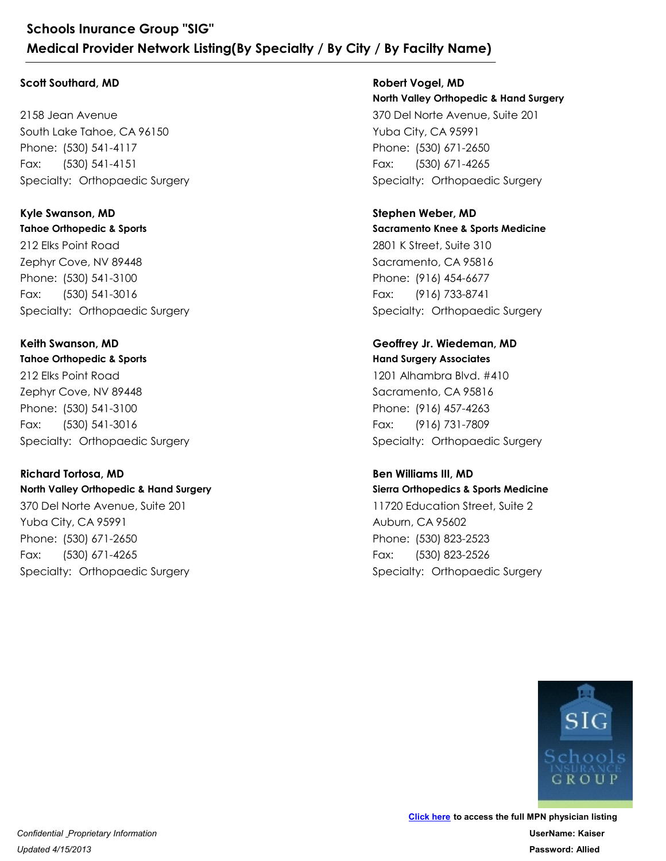### **Scott Southard, MD**

2158 Jean Avenue South Lake Tahoe, CA 96150 Schools Inurance Group "SIG"<br>
Medical Provider Network Listing(By Special<br>
Scott Southard, MD<br>
2158 Jean Avenue<br>
South Lake Tahoe, CA 96150<br>
Phone: (530) 541-4117<br>
Fax: (530) 541-4151<br>
Specialty: Orthopaedic Surgery<br>
Kyle Schools Inurance Group "SIG"<br>
Medical Provider Network Listing(By<br>
Scott Southard, MD<br>
2158 Jean Avenue<br>
South Lake Tahoe, CA 96150<br>
Phone: (530) 541-4117<br>
Fax: (530) 541-4151<br>
Specialty: Orthopaedic Surgery Fax: (530) 541-4151

**Tahoe Orthopedic & Sports** 212 Elks Point Road Zephyr Cove, NV 89448 Phone: (530) 541-4117<br>Fax: (530) 541-4151<br>Specialty: Orthopaedic Surgery<br>**Kyle Swanson, MD**<br>Tahoe Orthopedic & Sports<br>212 Elks Point Road<br>Zephyr Cove, NV 89448<br>Phone: (530) 541-3100<br>Fax: (530) 541-3016<br>Specialty: Orthopaed 2158 Jean Avenue<br>South Lake Tahoe, CA 96150<br>Phone: (530) 541-4117<br>Fax: (530) 541-4151<br>Specialty: Orthopaedic Surgery<br>**Kyle Swanson, MD**<br>**Tahoe Orthopedic & Sports**<br>212 Elks Point Road<br>Zephyr Cove, NV 89448<br>Phone: (530) 541 Fax: (530) 541-3016 **Kyle Swanson, MD**

**Tahoe Orthopedic & Sports** 212 Elks Point Road Zephyr Cove, NV 89448 Phone: (530) 541-3100<br>Fax: (530) 541-3100<br>Specialty: Orthopaedic Surgery<br>**Keith Swanson, MD**<br>**Tahoe Orthopedic & Sports**<br>212 Elks Point Road<br>Zephyr Cove, NV 89448<br>Phone: (530) 541-3100<br>Fax: (530) 541-3100<br>Specialty: Orthop 212 Elks Point Road<br>Zephyr Cove, NV 89448<br>Phone: (530) 541-3100<br>Fax: (530) 541-3116<br>Specialty: Orthopaedic Surgery<br>**Keith Swanson, MD**<br>**Tahoe Orthopedic & Sports**<br>212 Elks Point Road<br>Zephyr Cove, NV 89448<br>Phone: (530) 541-Fax: (530) 541-3016 **Keith Swanson, MD**

### **North Valley Orthopedic & Hand Surgery Richard Tortosa, MD**

370 Del Norte Avenue, Suite 201 Yuba City, CA 95991 Frax: (530) 541-3100<br>
Fax: (530) 541-3100<br>
Specialty: Orthopaedic Surgery<br> **Richard Tortosa, MD**<br> **Richard Tortosa, MD**<br> **North Valley Orthopedic & Hand Surgery**<br>
370 Del Norte Avenue, Suite 201<br>
Yuba City, CA 95991<br>
Phone 212 Elks Point Road<br>Zephyr Cove, NV 89448<br>Phone: (530) 541-3100<br>Fax: (530) 541-3106<br>Specialty: Orthopaedic Surgery<br>**Richard Tortosa, MD**<br>**North Valley Orthopedic & Hand Surgery**<br>370 Del Norte Avenue, Suite 201<br>Yuba City, C Fax: (530) 671-4265

**North Valley Orthopedic & Hand Surgery** 370 Del Norte Avenue, Suite 201 Yuba City, CA 95991 **/ By Facilty Name)**<br>
Robert Vogel, MD<br>
North Valley Orthopedic & Hand Surgery<br>
370 Del Norte Avenue, Suite 201<br>
Yuba City, CA 95991<br>
Phone: (530) 671-2650<br>
Fax: (530) 671-4265<br>
Specialty: Orthopaedic Surgery<br>
Stephen Webe **/ By Facilty Name)**<br>
Robert Vogel, MD<br>
North Valley Orthopedic & Hand Surgery<br>
370 Del Norte Avenue, Suite 201<br>
Yuba City, CA 95991<br>
Phone: (530) 671-2650<br>
Fax: (530) 671-4265<br>
Specialty: Orthopaedic Surgery Fax: (530) 671-4265 **Robert Vogel, MD**

**Sacramento Knee & Sports Medicine** 2801 K Street, Suite 310 Sacramento, CA 95816 Phone: (530) 671-2650<br>Fax: (530) 671-4265<br>Specialty: Orthopaedic Surgery<br>**Stephen Weber, MD**<br>**Stephen Weber, MD**<br>**Sacramento Knee & Sports Medicine**<br>2801 K Street, Suite 310<br>Sacramento, CA 95816<br>Phone: (916) 454-6677<br>Fax: 370 Del Norte Avenue, Suite 201<br>
Yuba City, CA 95991<br>
Phone: (530) 671-2650<br>
Fax: (530) 671-4265<br>
Specialty: Orthopaedic Surgery<br> **Stephen Weber, MD**<br> **Sacramento Knee & Sports Medicine**<br>
2801 K Street, Suite 310<br>
Sacramen Fax: (916) 733-8741 **Stephen Weber, MD** 2801 K Street, Suite 310<br>Sacramento, CA 95816<br>Phone: (916) 454-6677<br>Fax: (916) 733-8741<br>Specialty: Orthopaedic Surgery<br>**Geoffrey Jr. Wiedeman, MD**<br>**Hand Surgery Associates**<br>1201 Alhambra Blvd. #410<br>Sacramento, CA 95816<br>Pho

#### **Hand Surgery Associates Geoffrey Jr. Wiedeman, MD**

1201 Alhambra Blvd. #410 Sacramento, CA 95816 Phone: (916) 454-6677<br>Fax: (916) 733-8741<br>Specialty: Orthopaedic Surgery<br>**Geoffrey Jr. Wiedeman, MD**<br>**Hand Surgery Associates**<br>1201 Alhambra Blvd. #410<br>Sacramento, CA 95816<br>Phone: (916) 457-4263<br>Fax: (916) 731-7809<br>Special Fax: (916) 731-7809 1201 Alhambra Blvd. #410<br>
Sacramento, CA 95816<br>
Phone: (916) 457-4263<br>
Fax: (916) 731-7809<br>
Specialty: Orthopaedic Surgery<br> **Ben Williams III, MD**<br> **Sierra Orthopedics & Sports Medicine**<br>
11720 Education Street, Suite 2<br>
A

**Sierra Orthopedics & Sports Medicine Ben Williams III, MD**

11720 Education Street, Suite 2 Auburn, CA 95602 Phone: (916) 457-4263<br>Fax: (916) 731-7809<br>Specialty: Orthopaedic Surgery<br>**Specialty: Orthopaedic Surgery<br>Ben Williams III, MD**<br>**Sierra Orthopedics & Sports Medicine**<br>11720 Education Street, Suite 2<br>Auburn, CA 95602<br>Phone: Fax: (530) 823-2526

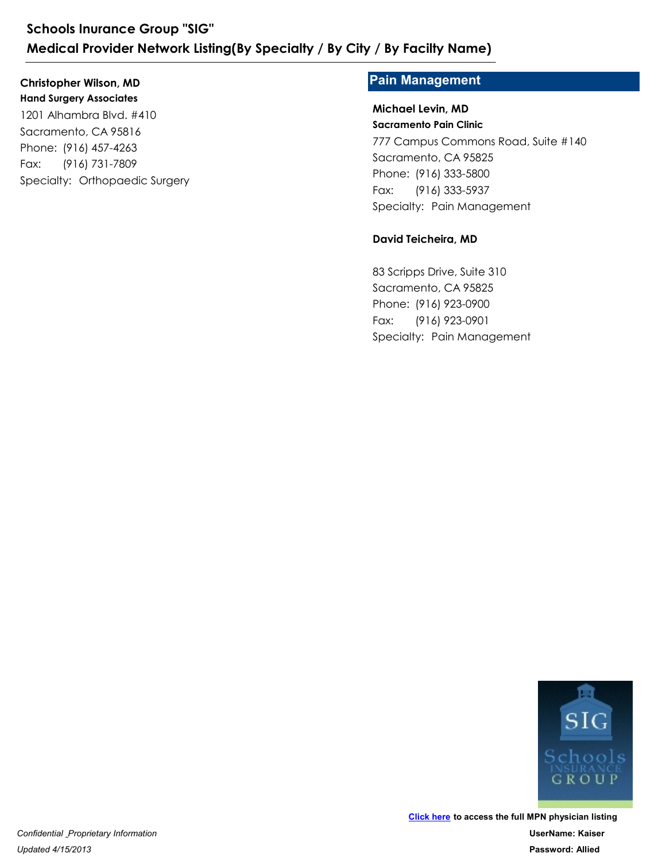**Hand Surgery Associates** 1201 Alhambra Blvd. #410 Sacramento, CA 95816 Schools Inurance Group "SIG"<br>
Medical Provider Network Listing(By Special<br>
Christopher Wilson, MD<br>
Hand Surgery Associates<br>
1201 Alhambra Blvd. #410<br>
Sacramento, CA 95816<br>
Phone: (916) 457-4263<br>
Fax: (916) 731-7809<br>
Specia Schools Inurance Group "SIG"<br>
Medical Provider Network Listing(By<br>
Christopher Wilson, MD<br>
Hand Surgery Associates<br>
1201 Alhambra Blvd. #410<br>
Sacramento, CA 95816<br>
Phone: (916) 457-4263<br>
Fax: (916) 731-7809<br>
Specialty: Ort Fax: (916) 731-7809

### **Christopher Wilson, MD Pain Management**

#### **Sacramento Pain Clinic Michael Levin, MD**

777 Campus Commons Road, Suite #140 Sacramento, CA 95825 **/ By Facilty Name)**<br> **Pain Management**<br>
Michael Levin, MD<br>
Sacramento Pain Clinic<br>
777 Campus Commons Road, Suite #140<br>
Sacramento, CA 95825<br>
Phone: (916) 333-5800<br>
Fax: (916) 333-5937<br>
Specialty: Pain Management<br> **David Pain Management<br>Pain Management<br>Michael Levin, MD<br>Sacramento Pain Clinic<br>777 Campus Commons Road, Suite #140<br>Sacramento, CA 95825<br>Phone: (916) 333-5800<br>Fax: (916) 333-5937<br>Specialty: Pain Management** Fax: (916) 333-5937 777 Campus Commons Road, Suite #140<br>Sacramento, CA 95825<br>Phone: (916) 333-5800<br>Fax: (916) 333-5837<br>Specialty: Pain Management<br>**David Teicheira, MD**<br>83 Scripps Drive, Suite 310<br>Sacramento, CA 95825<br>Phone: (916) 923-0900<br>Fax

### **David Teicheira, MD**

83 Scripps Drive, Suite 310 Sacramento, CA 95825 Phone: (916) 333-5800<br>Fax: (916) 333-5937<br>Specialty: Pain Management<br>**David Teicheira, MD**<br>83 Scripps Drive, Suite 310<br>Sacramento, CA 95825<br>Phone: (916) 923-0900<br>Fax: (916) 923-0900<br>Specialty: Pain Management Fax: (916) 923-0901

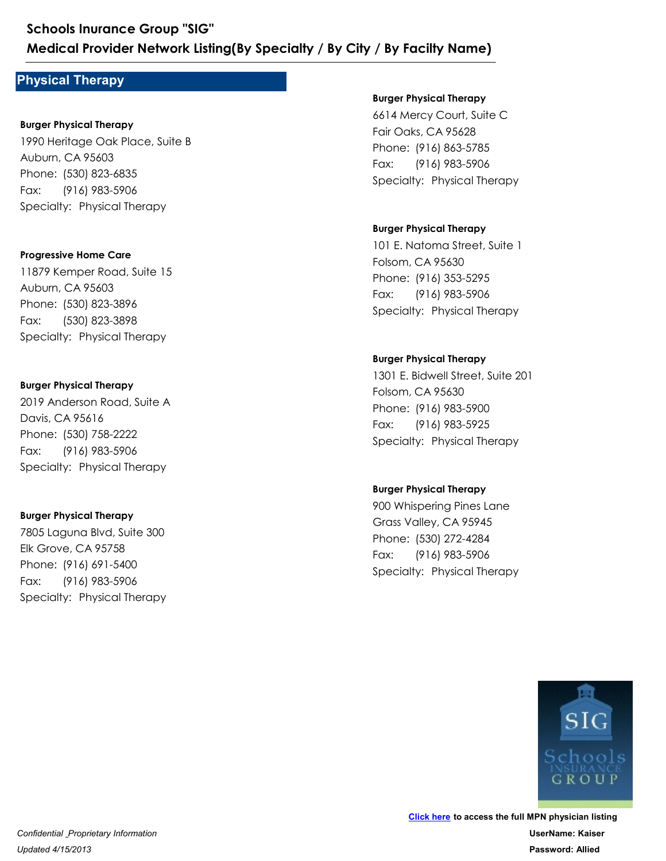### **Physical Therapy**

#### **Burger Physical Therapy**

1990 Heritage Oak Place, Suite B Auburn, CA 95603 Medical Provider Network Listing (By Special Therapy<br>
Physical Therapy<br>
Burger Physical Therapy<br>
1990 Heritage Oak Place, Suite B<br>
Auburn, CA 95603<br>
Phone: (530) 823-6835<br>
Fax: (916) 983-5906<br>
Specialty: Physical Therapy Schools Inurance Group "SIG"<br>
Medical Provider Network Listing(By<br>
Physical Therapy<br>
Burger Physical Therapy<br>
1990 Heritage Oak Place, Suite B<br>
Auburn, CA 95603<br>
Phone: (530) 823-6835<br>
Fax: (916) 983-5906<br>
Specialty: Physi Fax: (916) 983-5906 1990 Heritage Oak Place, Suite B<br>Auburn, CA 95603<br>Phone: (530) 823-6835<br>Fax: (916) 983-5906<br>Specialty: Physical Therapy<br>**Progressive Home Care<br>Progressive Home Care**<br>11879 Kemper Road, Suite 15<br>Auburn, CA 95603<br>Phone: (530

#### **Progressive Home Care**

11879 Kemper Road, Suite 15 Auburn, CA 95603 Phone: (530) 823-6835<br>Fax: (916) 983-5906<br>Specialty: Physical Therapy<br>Progressive Home Care<br>11879 Kemper Road, Suite 15<br>Auburn, CA 95603<br>Phone: (530) 823-3896<br>Fax: (530) 823-3898<br>Specialty: Physical Therapy Fax: (530) 823-3898 1879 Kemper Road, Suite 15<br>Auburn, CA 95603<br>Phone: (530) 823-3896<br>Fax: (530) 823-3898<br>Specialty: Physical Therapy<br>**Burger Physical Therapy**<br>2019 Anderson Road, Suite A<br>Davis, CA 95616<br>Phone: (530) 758-2222<br>Fax: (916) 983-5

#### **Burger Physical Therapy**

2019 Anderson Road, Suite A Davis, CA 95616 Phone: (530) 823-3896<br>Fax: (530) 823-3898<br>Specialty: Physical Therapy<br>**Burger Physical Therapy**<br>2019 Anderson Road, Suite A<br>Davis, CA 95616<br>Phone: (530) 758-2222<br>Fax: (916) 983-5906<br>Specialty: Physical Therapy Fax: (916) 983-5906 2019 Anderson Road, Suite A<br>
Davis, CA 95616<br>
Phone: (530) 758-2222<br>
Fax: (916) 983-5906<br>
Specialty: Physical Therapy<br> **Burger Physical Therapy**<br>
7805 Laguna Blvd, Suite 300<br>
Elk Grove, CA 95758<br>
Phone: (916) 691-5400<br>
Fax

### **Burger Physical Therapy**

7805 Laguna Blvd, Suite 300 Elk Grove, CA 95758 Phone: (530) 758-2222<br>Fax: (916) 983-5906<br>Specialty: Physical Therapy<br>**Burger Physical Therapy**<br>**Burger Physical Therapy**<br>7805 Laguna Blvd, Suite 300<br>Elk Grove, CA 95758<br>Phone: (916) 691-5400<br>Fax: (916) 983-5906<br>Specialty: Fax: (916) 983-5906

#### **Burger Physical Therapy**

6614 Mercy Court, Suite C Fair Oaks, CA 95628 **/ By Facilty Name)**<br> **Burger Physical Therapy**<br>
6614 Mercy Court, Suite C<br>
Fair Oaks, CA 95628<br>
Phone: (916) 863-5785<br>
Fax: (916) 983-5906<br>
Specialty: Physical Therapy **/ By Facilty Name)**<br> **Burger Physical Therapy**<br>
6614 Mercy Court, Suite C<br>
Fair Oaks, CA 95628<br>
Phone: (916) 863-5785<br>
Fax: (916) 983-5906<br>
Specialty: Physical Therapy Fax: (916) 983-5906

#### **Burger Physical Therapy**

101 E. Natoma Street, Suite 1 Folsom, CA 95630 Phone: (916) 863-5785<br>Fax: (916) 983-5906<br>Specialty: Physical Therapy<br>Burger Physical Therapy<br>101 E. Natoma Street, Suite 1<br>Folsom, CA 95630<br>Phone: (916) 353-5295<br>Fax: (916) 983-5906<br>Specialty: Physical Therapy 614 Mercy Court, Suite C<br>
Fair Oaks, CA 95628<br>
Phone: (916) 863-5785<br>
Fax: (916) 983-5906<br>
Specialty: Physical Therapy<br> **Burger Physical Therapy**<br>
101 E. Natoma Street, Suite 1<br>
Folsom, CA 95630<br>
Phone: (916) 353-5295<br>
Fax Fax: (916) 983-5906

#### **Burger Physical Therapy**

1301 E. Bidwell Street, Suite 201 Folsom, CA 95630 Phone: (916) 353-5295<br>Fax: (916) 983-5906<br>Specialty: Physical Therapy<br>Burger Physical Therapy<br>1301 E. Bidwell Street, Suite 201<br>Folsom, CA 95630<br>Phone: (916) 983-5900<br>Fax: (916) 983-5925<br>Specialty: Physical Therapy 101 E. Natoma Street, Suite 1<br>Folsom, CA 95630<br>Phone: (916) 353-5295<br>Fax: (916) 983-5906<br>Specialty: Physical Therapy<br>**Burger Physical Therapy**<br>**Burger Physical Therapy**<br>1301 E. Bidwell Street, Suite 201<br>Folsom, CA 95630<br>Ph Fax: (916) 983-5925 1301 E. Bidwell Street, Suite 201<br>Folsom, CA 95630<br>Phone: (916) 983-5900<br>Fax: (916) 983-5925<br>Specialty: Physical Therapy<br>**Burger Physical Therapy**<br>900 Whispering Pines Lane<br>Grass Valley, CA 95945<br>Phone: (530) 272-4284<br>Fax:

#### **Burger Physical Therapy**

900 Whispering Pines Lane Grass Valley, CA 95945 Phone: (916) 983-5900<br>Fax: (916) 983-5925<br>Specialty: Physical Therapy<br>Burger Physical Therapy<br>900 Whispering Pines Lane<br>Grass Valley, CA 95945<br>Phone: (530) 272-4284<br>Fax: (916) 983-5906<br>Specialty: Physical Therapy Fax: (916) 983-5906

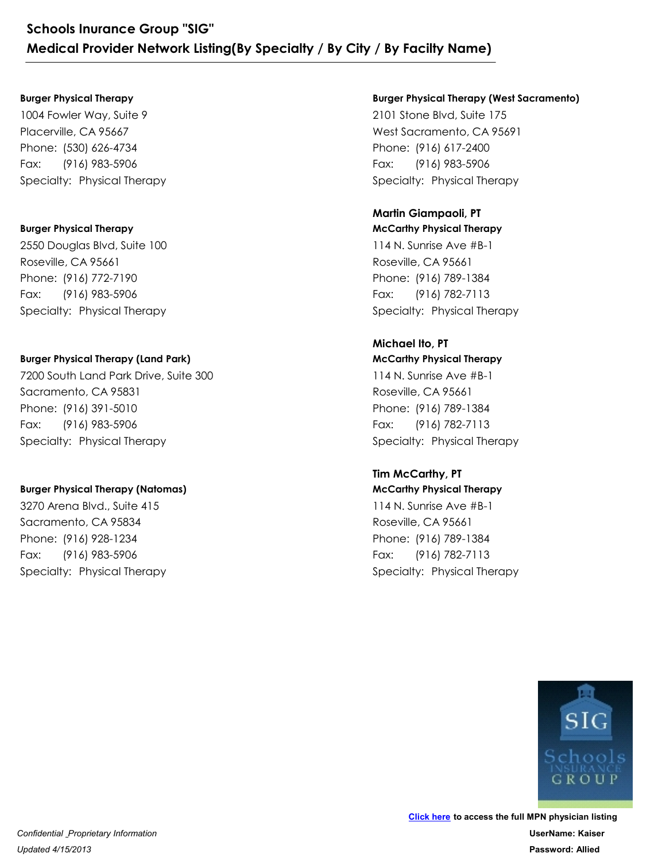#### **Burger Physical Therapy**

1004 Fowler Way, Suite 9 Placerville, CA 95667 Schools Inurance Group "SIG"<br>
Medical Provider Network Listing(By Spe<br>
Burger Physical Therapy<br>
1004 Fowler Way, Suite 9<br>
Placerville, CA 95667<br>
Phone: (530) 626-4734<br>
Fax: (916) 983-5906<br>
Specialty: Physical Therapy Schools Inurance Group "SIG"<br>
Medical Provider Network Listing(By<br>
Burger Physical Therapy<br>
1004 Fowler Way, Suite 9<br>
Placerville, CA 95667<br>
Phone: (530) 626-4734<br>
Fax: (916) 983-5906<br>
Specialty: Physical Therapy Fax: (916) 983-5906

#### **Burger Physical Therapy**

2550 Douglas Blvd, Suite 100 Roseville, CA 95661 Phone: (530) 626-4734<br>Fax: (916) 983-5906<br>Specialty: Physical Therapy<br>Burger Physical Therapy<br>2550 Douglas Blvd, Suite 100<br>Roseville, CA 95661<br>Phone: (916) 772-7190<br>Fax: (916) 983-5906<br>Specialty: Physical Therapy 1004 Fowler Way, Suite 9<br>Placerville, CA 95667<br>Phone: (530) 626-4734<br>Fax: (916) 983-5906<br>Specialty: Physical Therapy<br>**Burger Physical Therapy**<br>2550 Douglas Blvd, Suite 100<br>Roseville, CA 95661<br>Phone: (916) 772-7190<br>Fax: (91 Fax: (916) 983-5906

### **Burger Physical Therapy (Land Park)**

7200 South Land Park Drive, Suite 300 Sacramento, CA 95831 Phone: (916) 772-7190<br>Fax: (916) 983-5906<br>Specialty: Physical Therapy<br>Burger Physical Therapy (Land Park)<br>7200 South Land Park Drive, Suite 300<br>Sacramento, CA 95831<br>Phone: (916) 391-5010<br>Fax: (916) 983-5906<br>Specialty: Phys 2550 Douglas Blvd, Suite 100<br>Roseville, CA 95661<br>Phone: (916) 772-7190<br>Fax: (916) 983-5906<br>Specialty: Physical Therapy<br>**Burger Physical Therapy (Land Park)**<br>7200 South Land Park Drive, Suite 300<br>Sacramento, CA 95831<br>Phone: Fax: (916) 983-5906 7200 South Land Park Drive, Suite 300<br>Sacramento, CA 95831<br>Phone: (916) 391-5010<br>Fax: (916) 983-5906<br>Specialty: Physical Therapy<br>**Burger Physical Therapy (Natomas)**<br>3270 Arena Blvd., Suite 415<br>Sacramento, CA 95834<br>Phone: (

#### **Burger Physical Therapy (Natomas)**

3270 Arena Blvd., Suite 415 Sacramento, CA 95834 Phone: (916) 391-5010<br>Fax: (916) 983-5906<br>Specialty: Physical Therapy<br>Specialty: Physical Therapy<br>Burger Physical Therapy (Natomas)<br>3270 Arena Blvd., Suite 415<br>Sacramento, CA 95834<br>Phone: (916) 928-1234<br>Fax: (916) 983-5906 Fax: (916) 983-5906

#### **Burger Physical Therapy (West Sacramento)**

2101 Stone Blvd, Suite 175 West Sacramento, CA 95691 **/ By Facilty Name)**<br> **Burger Physical Therapy (West Sacramento)**<br>
2101 Stone Blvd, Suite 175<br>
West Sacramento, CA 95691<br>
Phone: (916) 617-2400<br>
Fax: (916) 983-5906<br>
Specialty: Physical Therapy<br> **Martin Giampaoli, PT / By Facilty Name)**<br> **Burger Physical Therapy (West Sacramento)**<br>
2101 Stone Blvd, Suite 175<br>
West Sacramento, CA 95691<br>
Phone: (916) 617-2400<br>
Fax: (916) 983-5906<br>
Specialty: Physical Therapy Fax: (916) 983-5906

### **Martin Giampaoli, PT**

**McCarthy Physical Therapy** 114 N. Sunrise Ave #B-1 Roseville, CA 95661 Phone: (916) 617-2400<br>Fax: (916) 983-5906<br>Specialty: Physical Therapy<br>**Martin Giampaoli, PT**<br>**McCarthy Physical Therapy**<br>114 N. Sunrise Ave #B-1<br>Roseville, CA 95661<br>Phone: (916) 789-1384<br>Fax: (916) 782-7113<br>Specialty: Phys 2101 Stone Blvd, Suite 175<br>West Sacramento, CA 95691<br>Phone: (916) 617-2400<br>Fax: (916) 983-5906<br>Specialty: Physical Therapy<br>**Martin Giampaoli, PT**<br>**McCarthy Physical Therapy**<br>114 N. Sunrise Ave #B-1<br>Roseville, CA 95661<br>Phon Fax: (916) 782-7113

#### **McCarthy Physical Therapy Michael Ito, PT**

114 N. Sunrise Ave #B-1 Roseville, CA 95661 Phone: (916) 789-1384<br>Fax: (916) 782-7113<br>Specialty: Physical Therapy<br>**Michael Ito, PT**<br>**Michael Ito, PT**<br>**McCarthy Physical Therapy**<br>114 N. Sunrise Ave #B-1<br>Roseville, CA 95661<br>Phone: (916) 789-1384<br>Fax: (916) 782-7113<br>Sp 114 N. Sunrise Ave #B-1<br>Roseville, CA 95661<br>Phone: (916) 789-1384<br>Fax: (916) 782-7113<br>Specialty: Physical Therapy<br>**Michael Ito, PT**<br>**Michael Ito, PT**<br>**McCarthy Physical Therapy**<br>114 N. Sunrise Ave #B-1<br>Roseville, CA 95661<br> Fax: (916) 782-7113 114 N. Sunrise Ave #B-1<br>Roseville, CA 95661<br>Phone: (916) 789-1384<br>Fax: (916) 782-7113<br>Specialty: Physical Therapy<br>**Tim McCarthy, PT**<br>**McCarthy Physical Therapy**<br>114 N. Sunrise Ave #B-1<br>Roseville, CA 95661<br>Phone: (916) 789-

### **McCarthy Physical Therapy Tim McCarthy, PT**

114 N. Sunrise Ave #B-1 Roseville, CA 95661 Phone: (916) 789-1384<br>Fax: (916) 782-7113<br>Specialty: Physical Therapy<br>**Tim McCarthy, PT**<br>**Tim McCarthy, PT**<br>McCarthy Physical Therapy<br>114 N. Sunrise Ave #B-1<br>Roseville, CA 95661<br>Phone: (916) 789-1384<br>Fax: (916) 782-7113<br>Sp Fax: (916) 782-7113

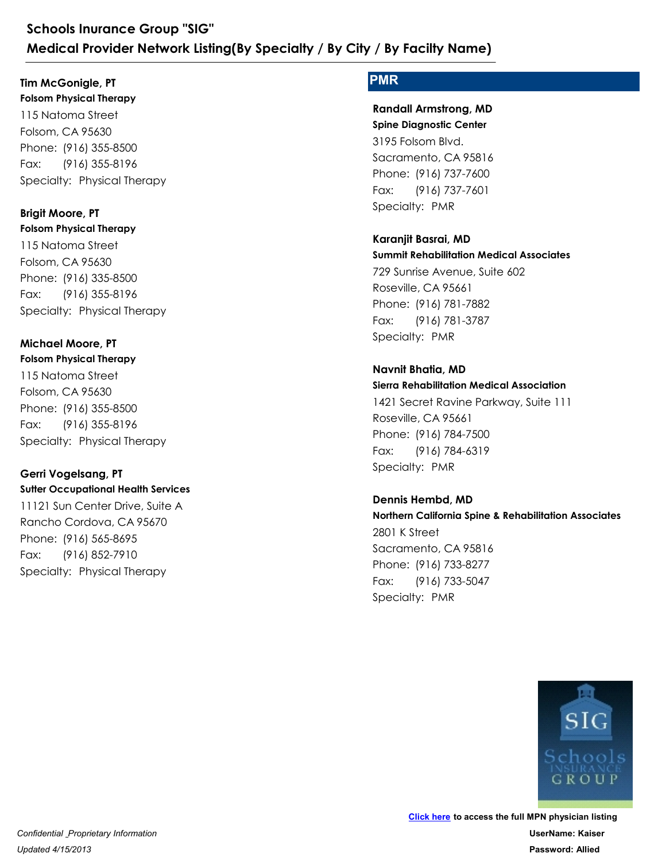**Folsom Physical Therapy** 115 Natoma Street **Tim McGonigle, PT**

Folsom, CA 95630 Schools Inurance Group "SIG"<br>
Medical Provider Network Listing(By Spe<br>
Tim McGonigle, PT<br>
Folsom Physical Therapy<br>
115 Natoma Street<br>
Folsom, CA 95630<br>
Phone: (916) 355-8500<br>
Fax: (916) 355-8196<br>
Specialty: Physical Therap Schools Inurance Group "SIG"<br>
Medical Provider Network Listing(By<br>
Tim McGonigle, PT<br>
Folsom Physical Therapy<br>
115 Natoma Street<br>
Folsom, CA 95630<br>
Phone: (916) 355-8500<br>
Fax: (916) 355-8196<br>
Specialty: Physical Therapy Fax: (916) 355-8196

**Folsom Physical Therapy** 115 Natoma Street Folsom, CA 95630 Phone: (916) 355-8500<br>Fax: (916) 355-8196<br>Specialty: Physical Therapy<br>**Brigit Moore, PT**<br>**Brigit Moore, PT**<br>**Folsom Physical Therapy**<br>115 Natoma Street<br>Folsom, CA 95630<br>Phone: (916) 335-8500<br>Fax: (916) 335-8196<br>Specialty: 115 Natoma Street<br>Folsom, CA 95630<br>Phone: (916) 355-8500<br>Fax: (916) 355-8196<br>Specialty: Physical Therapy<br>**Brigit Moore, PT**<br>**Folsom Physical Therapy**<br>115 Natoma Street<br>Folsom, CA 95630<br>Phone: (916) 335-8500<br>Fax: (916) 335-Fax: (916) 355-8196 **Brigit Moore, PT** 115 Natoma Street<br>Folsom, CA 95630<br>Phone: (916) 335-8500<br>Fax: (916) 355-8196<br>Specialty: Physical Therapy<br>**Michael Moore, PT<br>Folsom Physical Therapy**<br>115 Natoma Street<br>Folsom, CA 95630<br>Phone: (916) 355-8500<br>Fax: (916) 355-8

**Folsom Physical Therapy** 115 Natoma Street Folsom, CA 95630 Phone: (916) 335-8500<br>Fax: (916) 335-8196<br>Specialty: Physical Therapy<br>**Michael Moore, PT**<br>Folsom Physical Therapy<br>115 Natoma Street<br>Folsom, CA 95630<br>Phone: (916) 355-8500<br>Fax: (916) 355-8196<br>Specialty: Physical Therapy<br>**Sp Michael Moore, PT**

Fax: (916) 355-8196

### **Sutter Occupational Health Services Gerri Vogelsang, PT**

11121 Sun Center Drive, Suite A Rancho Cordova, CA 95670 Phone: (916) 355-8500<br>Fax: (916) 355-8196<br>Specialty: Physical Therapy<br>**Gerri Vogelsang, PT**<br>**Survey Computed Services**<br>11121 Sun Center Drive, Suite A<br>Rancho Cordova, CA 95670<br>Phone: (916) 565-8695<br>Fax: (916) 852-7910<br>Spec 115 Natoma Street<br>Folsom, CA 95630<br>Phone: (916) 355-8500<br>Fax: (916) 355-8196<br>Specialty: Physical Therapy<br>**Gerri Vogelsang, PT**<br>**Surter Occupational Health Services**<br>11121 Sun Center Drive, Suite A<br>Rancho Cordova, CA 95670<br> Fax: (916) 852-7910

### **PMR**

**Spine Diagnostic Center** 3195 Folsom Blvd. Sacramento, CA 95816 **/ By Facilty Name)**<br> **PMR**<br> **Randall Armstrong, MD**<br> **Spine Diagnostic Center**<br>
3195 Folsom Blvd.<br>
Sacramento, CA 95816<br>
Phone: (916) 737-7600<br>
Fax: (916) 737-7601<br>
Specialty: PMR<br> **Karanjit Basrai, MD / By Facilty Name)<br>PMR<br>Randall Armstrong, MD<br>Spine Diagnostic Center<br>3195 Folsom Blvd.<br>Sacramento, CA 95816<br>Phone: (916) 737-7600<br>Fax: (916) 737-7600<br>Specialty: PMR** Fax: (916) 737-7601 **Randall Armstrong, MD**

**Summit Rehabilitation Medical Associates** 729 Sunrise Avenue, Suite 602 Roseville, CA 95661 Phone: (916) 737-7600<br>Fax: (916) 737-7600<br>Specialty: PMR<br>**Karanjit Basrai, MD**<br>**Summit Rehabilitation Medical Associates**<br>729 Sunrise Avenue, Suite 602<br>Roseville, CA 95661<br>Phone: (916) 781-7882<br>Fax: (916) 781-3787<br>Specialt 3195 Folsom Blvd.<br>Sacramento, CA 95816<br>Phone: (916) 737-7600<br>Fax: (916) 737-7601<br>Specialty: PMR<br>**Karanjit Basrai, MD**<br>**Karanjit Basrai, MD**<br>**Summit Rehabilitation Medical Associates**<br>729 Sunrise Avenue, Suite 602<br>Roseville **Karanjit Basrai, MD**

Fax: (916) 781-3787

### **Navnit Bhatia, MD**

**Sierra Rehabilitation Medical Association** 1421 Secret Ravine Parkway, Suite 111 Roseville, CA 95661 Phone: (916) 781-7882<br>Fax: (916) 781-3787<br>Specialty: PMR<br>**Navnit Bhatia, MD**<br>**Sierra Rehabilitation Medical Association**<br>1421 Secret Ravine Parkway, Suite 111<br>Roseville, CA 95661<br>Phone: (916) 784-7500<br>Fax: (916) 784-6319<br>S 729 Sunrise Avenue, Suite 602<br>Roseville, CA 95661<br>Phone: (916) 781-7882<br>Fax: (916) 781-3787<br>Specialty: PMR<br>**Navnit Bhatia, MD**<br>**Sierra Rehabilitation Medical Association**<br>1421 Secret Ravine Parkway, Suite 111<br>Roseville, CA Fax: (916) 784-6319

**Northern California Spine & Rehabilitation Associates** 2801 K Street Sacramento, CA 95816 Phone: (916) 784-7500<br>Fax: (916) 784-6319<br>Specialty: PMR<br>**Dennis Hembd, MD**<br>**Northern California Spine & Rehabilitation A:**<br>2801 K Street<br>Sacramento, CA 95816<br>Phone: (916) 733-8277<br>Fax: (916) 733-5047<br>Specialty: PMR 1421 Secret Ravine Parkway, Suite 111<br>Roseville, CA 95661<br>Phone: (916) 784-7500<br>Fax: (916) 784-6319<br>Specialty: PMR<br>**Dennis Hembd, MD**<br>**Northern California Spine & Rehabilitation Associc**<br>2801 K Street<br>Sacramento, CA 95816<br> Fax: (916) 733-5047 **Dennis Hembd, MD**

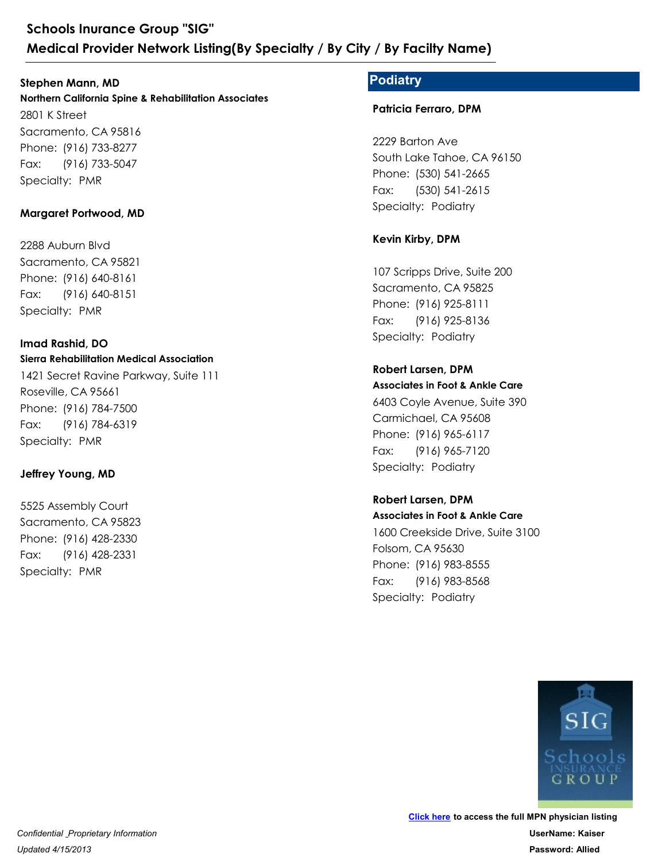### **Stephen Mann, MD**

**Northern California Spine & Rehabilitation Associates** 2801 K Street Sacramento, CA 95816 Schools Inurance Group "SIG"<br>
Medical Provider Network Listing<br>
Stephen Mann, MD<br>
Northern California Spine & Rehabilitation As<br>
2801 K Street<br>
Sacramento, CA 95816<br>
Phone: (916) 733-8277<br>
Fax: (916) 733-5047<br>
Specialty: P Schools Inurance Group "SIG"<br>
Medical Provider Network Listing(By<br>
Stephen Mann, MD<br>
Northern California Spine & Rehabilitation Associa<br>
2801 K Street<br>
Sacramento, CA 95816<br>
Phone: (916) 733-8277<br>
Fax: (916) 733-5047<br>
Spec Fax: (916) 733-5047 Phone: (916) 733-8277<br>Fax: (916) 733-5047<br>Specialty: PMR<br>**Margaret Portwood, MD**<br>2288 Auburn Blvd<br>Sacramento, CA 95821<br>Phone: (916) 640-8161<br>Fax: (916) 640-8161<br>Specialty: PMR 2801 K Street<br>
Sacramento, CA 95816<br>
Phone: (916) 733-8277<br>
Fax: (916) 733-5047<br>
Specialty: PMR<br> **Margaret Portwood, MD**<br>
2288 Auburn Blvd<br>
Sacramento, CA 95821<br>
Phone: (916) 640-8161<br>
Fax: (916) 640-8151<br>
Specialty: PMR

### **Margaret Portwood, MD**

2288 Auburn Blvd Sacramento, CA 95821 Fax: (916) 640-8151

#### **Sierra Rehabilitation Medical Association Imad Rashid, DO**

1421 Secret Ravine Parkway, Suite 111 Roseville, CA 95661 Phone: (916) 640-8161<br>Fax: (916) 640-8151<br>Specialty: PMR<br>**Imad Rashid, DO**<br>**Imad Rashid, DO**<br>**I421** Secret Ravine Parkway, Suite 111<br>Roseville, CA 95661<br>Phone: (916) 784-7500<br>Fax: (916) 784-6319<br>Specialty: PMR<br>**Jeffrey You** 2288 Auburn Blvd<br>Sacramento, CA 95821<br>Phone: (916) 640-8161<br>Fax: (916) 640-8151<br>Specialty: PMR<br>**Imad Rashid, DO**<br>**Sierra Rehabilitation Medical Association**<br>1421 Secret Ravine Parkway, Suite 111<br>Roseville, CA 95661<br>Phone: Fax: (916) 784-6319 Phone: (916) 784-7500<br>Fax: (916) 784-6319<br>Specialty: PMR<br>**Jeffrey Young, MD**<br>5525 Assembly Court<br>Sacramento, CA 95823<br>Phone: (916) 428-2330<br>Fax: (916) 428-2331<br>Specialty: PMR 1421 Secret Ravine Parkway, Suite 111<br>Roseville, CA 95661<br>Phone: (916) 784-7500<br>Fax: (916) 784-6319<br>Specialty: PMR<br>**Jeffrey Young, MD**<br>5525 Assembly Court<br>Sacramento, CA 95823<br>Phone: (916) 428-2330<br>Fax: (916) 428-2331<br>Spec

### **Jeffrey Young, MD**

5525 Assembly Court Sacramento, CA 95823 Fax: (916) 428-2331

### **Podiatry**

**Patricia Ferraro, DPM**

2229 Barton Ave South Lake Tahoe, CA 96150 **/ By Facilty Name)**<br> **Podiatry**<br> **Patricia Ferraro, DPM**<br>
2229 Barton Ave<br>
South Lake Tahoe, CA 96150<br>
Phone: (530) 541-2665<br>
Fax: (530) 541-2615<br>
Specialty: Podiatry<br> **Kevin Kirby, DPM Podiatry<br>Patricia Ferraro, DPM<br>Patricia Ferraro, DPM<br>2229 Barton Ave<br>South Lake Tahoe, CA 96150<br>Phone: (530) 541-2665<br>Fax: (530) 541-2665<br>Specialty: Podiatry** Fax: (530) 541-2615 2229 Barton Ave<br>
South Lake Tahoe, CA 96150<br>
Phone: (530) 541-2665<br>
Fax: (530) 541-2615<br>
Specialty: Podiatry<br> **Kevin Kirby, DPM**<br>
107 Scripps Drive, Suite 200<br>
Sacramento, CA 95825<br>
Phone: (916) 925-8111<br>
Fax: (916) 925-81

### **Kevin Kirby, DPM**

107 Scripps Drive, Suite 200 Sacramento, CA 95825 Phone: (530) 541-2665<br>Fax: (530) 541-2615<br>Specialty: Podiatry<br>**Kevin Kirby, DPM**<br>107 Scripps Drive, Suite 200<br>Sacramento, CA 95825<br>Phone: (916) 925-8111<br>Fax: (916) 925-8136<br>Specialty: Podiatry Fax: (916) 925-8136

### **Robert Larsen, DPM**

**Associates in Foot & Ankle Care** 6403 Coyle Avenue, Suite 390 Carmichael, CA 95608 Phone: (916) 925-8111<br>Fax: (916) 925-8136<br>Specialty: Podiatry<br>**Robert Larsen, DPM<br>Associates in Foot & Ankle Care**<br>6403 Coyle Avenue, Suite 390<br>Carmichael, CA 95608<br>Phone: (916) 965-6117<br>Fax: (916) 965-6117<br>Specialty: Podi 107 Scripps Drive, Suite 200<br>Sacramento, CA 95825<br>Phone: (916) 925-8111<br>Fax: (916) 925-8136<br>Specialty: Podiatry<br>**Robert Larsen, DPM<br>Associates in Foot & Ankle Care**<br>6403 Coyle Avenue, Suite 390<br>Carmichael, CA 95608<br>Phone: Fax: (916) 965-7120

# **Associates in Foot & Ankle Care** 1600 Creekside Drive, Suite 3100 Folsom, CA 95630 Phone: (916) 965-6117<br>Fax: (916) 965-6117<br>Specialty: Podiatry<br>**Robert Larsen, DPM<br>Associates in Foot & Ankle Care**<br>1600 Creekside Drive, Suite 3100<br>Folsom, CA 95630<br>Phone: (916) 983-8555<br>Fax: (916) 983-8555<br>Specialty: Podi 6403 Coyle Avenue, Suite 390<br>Carmichael, CA 95608<br>Phone: (916) 965-6117<br>Fax: (916) 965-7120<br>Specialty: Podiatry<br>**Robert Larsen, DPM<br>Associates in Foot & Ankle Care**<br>1600 Creekside Drive, Suite 3100<br>Folsom, CA 95630<br>Phone: Fax: (916) 983-8568 **Robert Larsen, DPM**

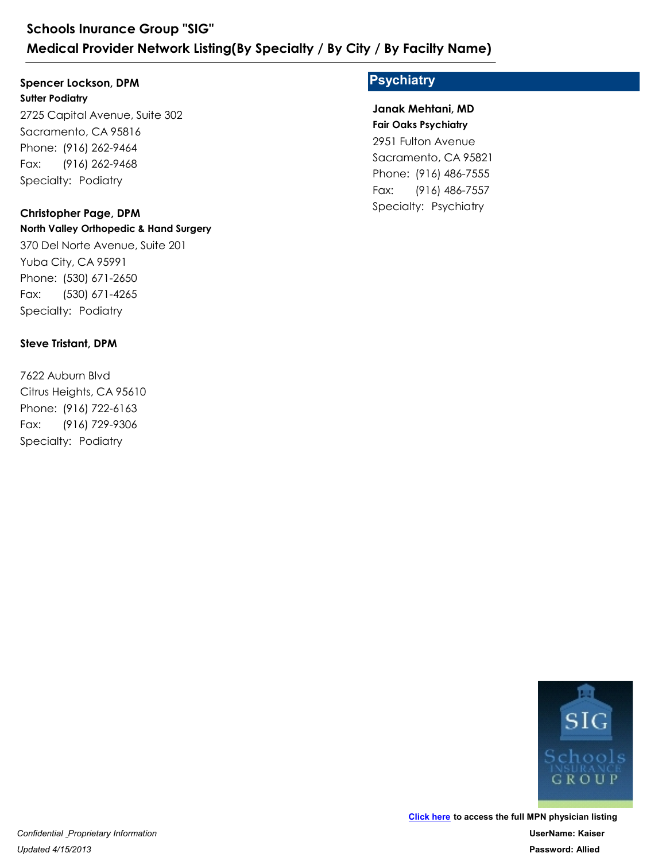### **Spencer Lockson, DPM**

**Sutter Podiatry** 2725 Capital Avenue, Suite 302 Sacramento, CA 95816 Schools Inurance Group "SIG"<br>
Medical Provider Network Listing<br>
Spencer Lockson, DPM<br>
Sutter Podiatry<br>
2725 Capital Avenue, Suite 302<br>
Sacramento, CA 95816<br>
Phone: (916) 262-9464<br>
Fax: (916) 262-9468<br>
Specialty: Podiatry<br> Schools Inurance Group "SIG"<br>
Medical Provider Network Listing(By<br>
Spencer Lockson, DPM<br>
Sutter Podiatry<br>
2725 Capital Avenue, Suite 302<br>
Sacramento, CA 95816<br>
Phone: (916) 262-9464<br>
Fax: (916) 262-9468<br>
Specialty: Podiatr Fax: (916) 262-9468 2725 Capital Avenue, Suite 302<br>Sacramento, CA 95816<br>Phone: (916) 262-9464<br>Fax: (916) 262-9468<br>Specialty: Podiatry<br>**Christopher Page, DPM**<br>**North Valley Orthopedic & Hand Surgery**<br>370 Del Norte Avenue, Suite 201<br>Yuba City,

### **Christopher Page, DPM**

**North Valley Orthopedic & Hand Surgery** 370 Del Norte Avenue, Suite 201 Yuba City, CA 95991 Phone: (916) 262-9464<br>Fax: (916) 262-9468<br>Specialty: Podiatry<br>**Christopher Page, DPM**<br>**North Valley Orthopedic & Hand Surgery**<br>370 Del Norte Avenue, Suite 201<br>Yuba City, CA 95991<br>Phone: (530) 671-2650<br>Fax: (530) 671-4265<br>S

Fax: (530) 671-4265

### **Steve Tristant, DPM**

7622 Auburn Blvd Citrus Heights, CA 95610 Phone: (530) 671-2650<br>Fax: (530) 671-4265<br>Specialty: Podiatry<br>**Steve Tristant, DPM**<br>7622 Auburn Blvd<br>Citrus Heights, CA 95610<br>Phone: (916) 722-6163<br>Fax: (916) 729-9306<br>Specialty: Podiatry 370 Del Norte Avenue, Suite 201<br>Yuba City, CA 95991<br>Phone: (530) 671-2650<br>Fax: (530) 671-4265<br>Specialty: Podiatry<br>**Steve Tristant, DPM**<br>7622 Auburn Blvd<br>Citrus Heights, CA 95610<br>Phone: (916) 722-6163<br>Fax: (916) 729-9306<br>Sp Fax: (916) 729-9306

### **Psychiatry**

**Fair Oaks Psychiatry** 2951 Fulton Avenue **Janak Mehtani, MD**

Sacramento, CA 95821 **/ By Facilty Name)**<br> **Psychiatry**<br>
Janak Mehtani, MD<br>
Fair Oaks Psychiatry<br>
2951 Fulton Avenue<br>
Sacramento, CA 95821<br>
Phone: (916) 486-7555<br>
Fax: (916) 486-7557<br>
Specialty: Psychiatry **Psychiatry<br>Psychiatry<br>Janak Mehtani, MD<br>Fair Oaks Psychiatry<br>2951 Fulton Avenue<br>Sacramento, CA 95821<br>Phone: (916) 486-7555<br>Fax: (916) 486-7555<br>Specialty: Psychiatry** Fax: (916) 486-7557

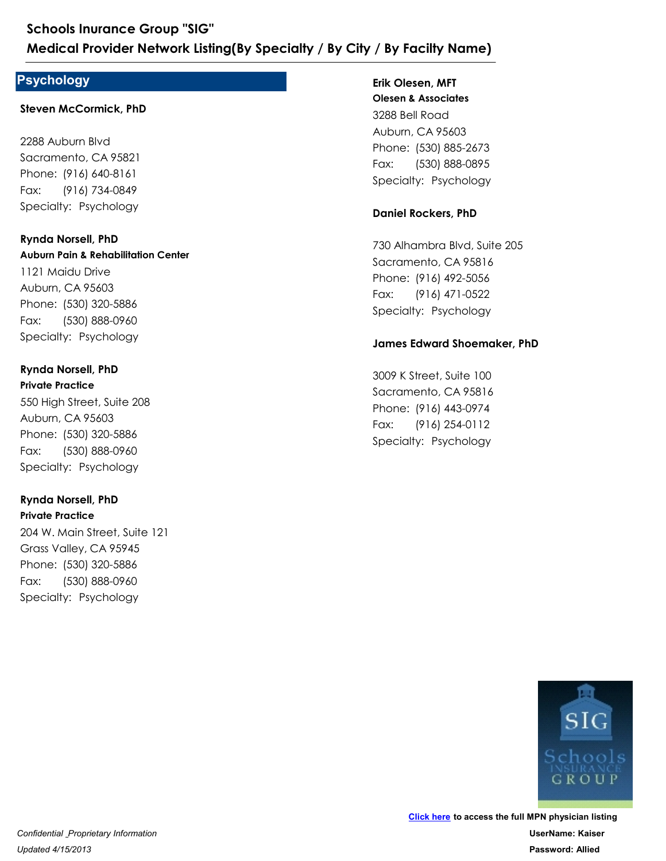### **Psychology**

#### **Steven McCormick, PhD**

2288 Auburn Blvd Sacramento, CA 95821 Medical Provider Network Listing(By<br>
Psychology<br>
Steven McCormick, PhD<br>
2288 Auburn Blvd<br>
Sacramento, CA 95821<br>
Phone: (916) 640-8161<br>
Fax: (916) 734-0849<br>
Specialty: Psychology<br>
Rynda Norsell, PhD Schools Inurance Group "SIG"<br>
Medical Provider Network Listing(By<br>
Psychology<br>
Steven McCormick, PhD<br>
2288 Auburn Blvd<br>
Sacramento, CA 95821<br>
Phone: (916) 640-8161<br>
Fax: (916) 734-0849<br>
Specialty: Psychology Fax: (916) 734-0849

**Auburn Pain & Rehabilitation Center** 1121 Maidu Drive Auburn, CA 95603 Phone: (916) 640-8161<br>Fax: (916) 734-0849<br>Specialty: Psychology<br>**Rynda Norsell, PhD<br>Auburn Pain & Rehabilitation Center**<br>1121 Maidu Drive<br>Auburn, CA 95603<br>Phone: (530) 320-5886<br>Fax: (530) 888-0960<br>Specialty: Psychology<br>**Ry** 2288 Auburn Blvd<br>Sacramento, CA 95821<br>Phone: (916) 640-8161<br>Fax: (916) 734-0849<br>Specialty: Psychology<br>**Rynda Norsell, PhD<br>Auburn Pain & Rehabilitation Center**<br>1121 Maidu Drive<br>Auburn, CA 95603<br>Phone: (530) 320-5886<br>Fax: (5 Fax: (530) 888-0960 **Rynda Norsell, PhD** Phone: (530) 320-5886<br>Fax: (530) 888-0960<br>Specialty: Psychology<br>**Rynda Norsell, PhD**<br>**Private Practice**<br>550 High Street, Suite 208<br>Auburn, CA 95603<br>Phone: (530) 320-5886<br>Fax: (530) 888-0960<br>Specialty: Psychology<br>**Rynda Nor** 1121 Maidu Drive<br>Auburn, CA 95603<br>Phone: (530) 320-5886<br>Fax: (530) 888-0960<br>Specialty: Psychology<br>**Rynda Norsell, PhD**<br>**Private Practice**<br>550 High Street, Suite 208<br>Auburn, CA 95603<br>Phone: (530) 320-5886<br>Fax: (530) 888-096

### **Private Practice Rynda Norsell, PhD**

550 High Street, Suite 208 Auburn, CA 95603 Fax: (530) 888-0960

#### **Private Practice Rynda Norsell, PhD**

204 W. Main Street, Suite 121 Grass Valley, CA 95945 Phone: (530) 320-5886<br>Fax: (530) 888-0960<br>Specialty: Psychology<br>**Rynda Norsell, PhD**<br>**Private Practice**<br>204 W. Main Street, Suite 121<br>Grass Valley, CA 95945<br>Phone: (530) 320-5886<br>Fax: (530) 888-0960<br>Specialty: Psychology 550 High Street, Suite 208<br>
Auburn, CA 95603<br>
Phone: (530) 320-5886<br>
Fax: (530) 888-0960<br>
Specialty: Psychology<br> **Rynda Norsell, PhD**<br> **Private Practice**<br>
204 W. Main Street, Suite 121<br>
Grass Valley, CA 95945<br>
Phone: (530) Fax: (530) 888-0960

### **Erik Olesen, MFT**

**Olesen & Associates** 3288 Bell Road Auburn, CA 95603 **/ By Facilty Name)**<br>
Erik Olesen, MFT<br>
Olesen & Associates<br>
3288 Bell Road<br>
Auburn, CA 95603<br>
Phone: (530) 885-2673<br>
Fax: (530) 888-0895<br>
Specialty: Psychology<br> **Daniel Rockers, PhD / By Facilty Name)**<br>Erik Olesen, MFT<br>Olesen & Associates<br>3288 Bell Road<br>Auburn, CA 95603<br>Phone: (530) 885-2673<br>Fax: (530) 888-0895<br>Specialty: Psychology Fax: (530) 888-0895

### **Daniel Rockers, PhD**

730 Alhambra Blvd, Suite 205 Sacramento, CA 95816 Phone: (530) 885-2673<br>Fax: (530) 888-0895<br>Specialty: Psychology<br>**Daniel Rockers, PhD**<br>730 Alhambra Blvd, Suite 205<br>Sacramento, CA 95816<br>Phone: (916) 492-5056<br>Fax: (916) 471-0522<br>Specialty: Psychology<br>**James Edward Shoemake** 3288 Bell Road<br>Auburn, CA 95603<br>Phone: (530) 885-2673<br>Fax: (530) 888-0895<br>Specialty: Psychology<br>**Daniel Rockers, PhD**<br>730 Alhambra Blvd, Suite 205<br>Sacramento, CA 95816<br>Phone: (916) 492-5056<br>Fax: (916) 471-0522<br>Specialty: P Fax: (916) 471-0522 730 Alhambra Blvd, Suite 205<br>
Sacramento, CA 95816<br>
Phone: (916) 492-5056<br>
Fax: (916) 471-0522<br>
Specialty: Psychology<br> **James Edward Shoemaker, PhD**<br>
3009 K Street, Suite 100<br>
Sacramento, CA 95816<br>
Phone: (916) 443-0974<br>
F

### **James Edward Shoemaker, PhD**

3009 K Street, Suite 100 Sacramento, CA 95816 Phone: (916) 492-5056<br>Fax: (916) 471-0522<br>Specialty: Psychology<br>**James Edward Shoemaker, PhD**<br>3009 K Street, Suite 100<br>Sacramento, CA 95816<br>Phone: (916) 443-0974<br>Fax: (916) 254-0112<br>Specialty: Psychology Fax: (916) 254-0112